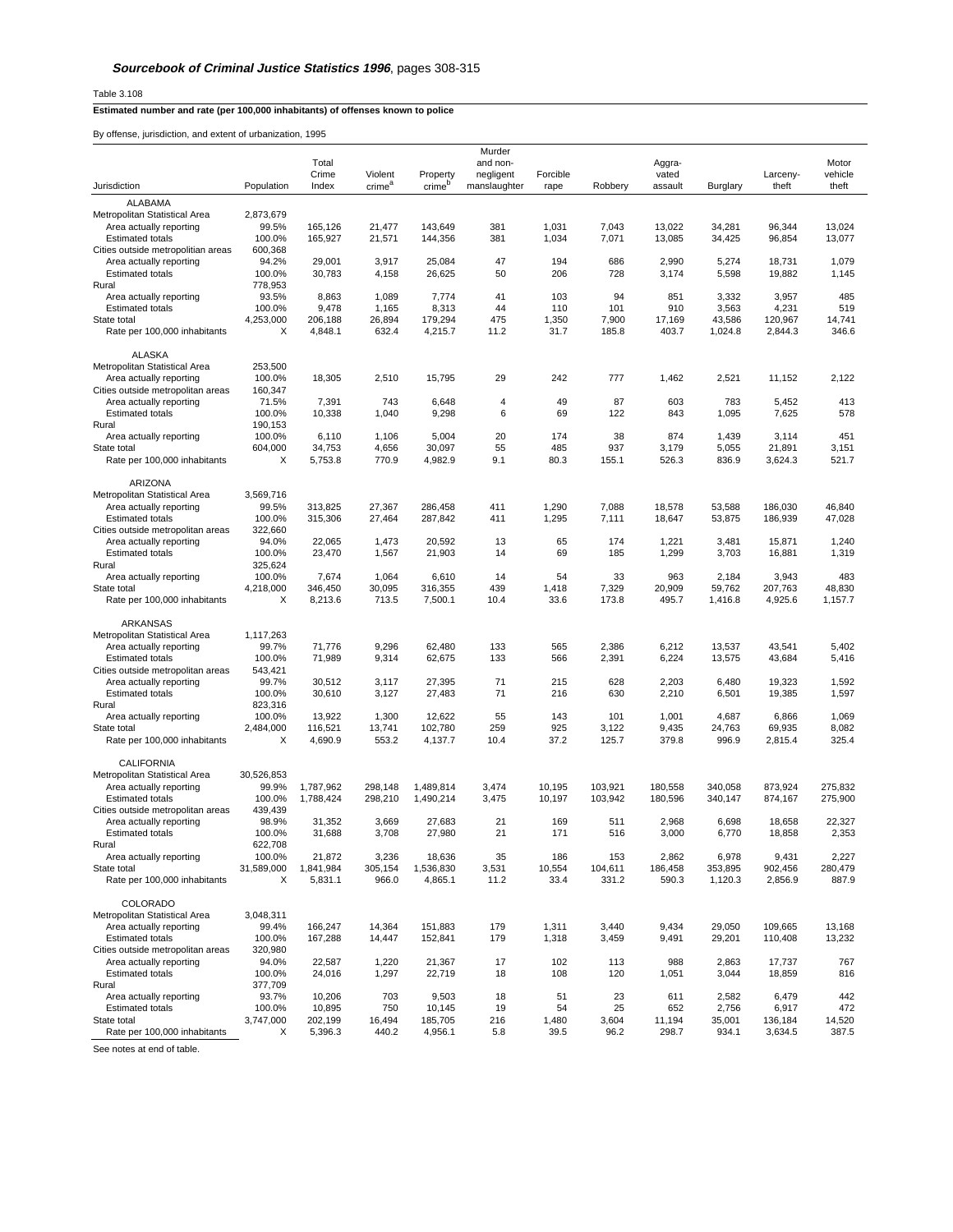Table 3.108

## **Estimated number and rate (per 100,000 inhabitants) of offenses known to police**

By offense, jurisdiction, and extent of urbanization, 1995

|                                                              |                     |                    |                    |                    | Murder         |                |                |                  |                   |                    |                  |
|--------------------------------------------------------------|---------------------|--------------------|--------------------|--------------------|----------------|----------------|----------------|------------------|-------------------|--------------------|------------------|
|                                                              |                     | Total              |                    |                    | and non-       |                |                | Aggra-           |                   |                    | Motor            |
|                                                              |                     | Crime              | Violent            | Property           | negligent      | Forcible       |                | vated            |                   | Larceny-           | vehicle          |
| Jurisdiction                                                 | Population          | Index              | crime <sup>a</sup> | crime <sup>p</sup> | manslaughter   | rape           | Robbery        | assault          | Burglary          | theft              | theft            |
| ALABAMA                                                      |                     |                    |                    |                    |                |                |                |                  |                   |                    |                  |
| Metropolitan Statistical Area                                | 2,873,679           |                    |                    |                    |                |                |                |                  |                   |                    |                  |
| Area actually reporting<br><b>Estimated totals</b>           | 99.5%<br>100.0%     | 165,126<br>165,927 | 21,477<br>21,571   | 143,649<br>144,356 | 381<br>381     | 1,031<br>1,034 | 7,043<br>7,071 | 13,022<br>13,085 | 34,281<br>34,425  | 96,344<br>96,854   | 13,024<br>13,077 |
| Cities outside metropolitian areas                           | 600,368             |                    |                    |                    |                |                |                |                  |                   |                    |                  |
| Area actually reporting                                      | 94.2%               | 29,001             | 3,917              | 25,084             | 47             | 194            | 686            | 2,990            | 5,274             | 18,731             | 1,079            |
| <b>Estimated totals</b>                                      | 100.0%              | 30,783             | 4,158              | 26,625             | 50             | 206            | 728            | 3,174            | 5,598             | 19,882             | 1,145            |
| Rural                                                        | 778,953             |                    |                    |                    |                |                |                |                  |                   |                    |                  |
| Area actually reporting                                      | 93.5%               | 8,863              | 1,089              | 7,774              | 41             | 103            | 94             | 851              | 3,332             | 3,957              | 485              |
| <b>Estimated totals</b>                                      | 100.0%              | 9,478              | 1,165              | 8,313              | 44             | 110            | 101            | 910              | 3,563             | 4,231<br>120.967   | 519              |
| State total<br>Rate per 100,000 inhabitants                  | 4,253,000<br>X      | 206,188<br>4,848.1 | 26,894<br>632.4    | 179,294<br>4,215.7 | 475<br>11.2    | 1,350<br>31.7  | 7,900<br>185.8 | 17,169<br>403.7  | 43,586<br>1,024.8 | 2,844.3            | 14,741<br>346.6  |
|                                                              |                     |                    |                    |                    |                |                |                |                  |                   |                    |                  |
| <b>ALASKA</b>                                                |                     |                    |                    |                    |                |                |                |                  |                   |                    |                  |
| Metropolitan Statistical Area                                | 253,500             |                    |                    |                    |                |                |                |                  |                   |                    |                  |
| Area actually reporting                                      | 100.0%              | 18,305             | 2,510              | 15,795             | 29             | 242            | 777            | 1,462            | 2,521             | 11,152             | 2,122            |
| Cities outside metropolitan areas                            | 160,347             | 7,391              |                    |                    | $\overline{4}$ | 49             | 87             | 603              |                   |                    | 413              |
| Area actually reporting<br><b>Estimated totals</b>           | 71.5%<br>100.0%     | 10,338             | 743<br>1,040       | 6,648<br>9,298     | 6              | 69             | 122            | 843              | 783<br>1,095      | 5,452<br>7,625     | 578              |
| Rural                                                        | 190,153             |                    |                    |                    |                |                |                |                  |                   |                    |                  |
| Area actually reporting                                      | 100.0%              | 6,110              | 1,106              | 5,004              | 20             | 174            | 38             | 874              | 1,439             | 3,114              | 451              |
| State total                                                  | 604,000             | 34,753             | 4,656              | 30,097             | 55             | 485            | 937            | 3,179            | 5,055             | 21,891             | 3,151            |
| Rate per 100,000 inhabitants                                 | X                   | 5,753.8            | 770.9              | 4,982.9            | 9.1            | 80.3           | 155.1          | 526.3            | 836.9             | 3,624.3            | 521.7            |
|                                                              |                     |                    |                    |                    |                |                |                |                  |                   |                    |                  |
| ARIZONA<br>Metropolitan Statistical Area                     | 3,569,716           |                    |                    |                    |                |                |                |                  |                   |                    |                  |
| Area actually reporting                                      | 99.5%               | 313.825            | 27,367             | 286,458            | 411            | 1,290          | 7,088          | 18,578           | 53.588            | 186,030            | 46,840           |
| <b>Estimated totals</b>                                      | 100.0%              | 315,306            | 27,464             | 287,842            | 411            | 1,295          | 7,111          | 18,647           | 53,875            | 186,939            | 47,028           |
| Cities outside metropolitan areas                            | 322,660             |                    |                    |                    |                |                |                |                  |                   |                    |                  |
| Area actually reporting                                      | 94.0%               | 22,065             | 1,473              | 20,592             | 13             | 65             | 174            | 1,221            | 3,481             | 15,871             | 1,240            |
| <b>Estimated totals</b>                                      | 100.0%              | 23,470             | 1,567              | 21,903             | 14             | 69             | 185            | 1,299            | 3,703             | 16,881             | 1,319            |
| Rural                                                        | 325,624             |                    |                    |                    |                |                |                |                  |                   |                    |                  |
| Area actually reporting<br>State total                       | 100.0%<br>4,218,000 | 7,674<br>346,450   | 1,064<br>30,095    | 6,610<br>316,355   | 14<br>439      | 54<br>1,418    | 33<br>7,329    | 963<br>20,909    | 2,184<br>59,762   | 3,943<br>207,763   | 483<br>48,830    |
| Rate per 100,000 inhabitants                                 | X                   | 8,213.6            | 713.5              | 7,500.1            | 10.4           | 33.6           | 173.8          | 495.7            | 1,416.8           | 4,925.6            | 1,157.7          |
|                                                              |                     |                    |                    |                    |                |                |                |                  |                   |                    |                  |
| ARKANSAS                                                     |                     |                    |                    |                    |                |                |                |                  |                   |                    |                  |
| Metropolitan Statistical Area                                | 1,117,263           |                    |                    |                    |                |                |                |                  |                   |                    |                  |
| Area actually reporting                                      | 99.7%               | 71,776             | 9,296              | 62,480             | 133            | 565            | 2,386          | 6,212            | 13,537            | 43,541             | 5,402            |
| <b>Estimated totals</b><br>Cities outside metropolitan areas | 100.0%<br>543,421   | 71,989             | 9,314              | 62,675             | 133            | 566            | 2,391          | 6,224            | 13,575            | 43,684             | 5,416            |
| Area actually reporting                                      | 99.7%               | 30,512             | 3,117              | 27,395             | 71             | 215            | 628            | 2,203            | 6,480             | 19,323             | 1,592            |
| <b>Estimated totals</b>                                      | 100.0%              | 30,610             | 3,127              | 27,483             | 71             | 216            | 630            | 2,210            | 6,501             | 19,385             | 1,597            |
| Rural                                                        | 823,316             |                    |                    |                    |                |                |                |                  |                   |                    |                  |
| Area actually reporting                                      | 100.0%              | 13,922             | 1,300              | 12,622             | 55             | 143            | 101            | 1,001            | 4,687             | 6,866              | 1,069            |
| State total                                                  | 2,484,000           | 116,521            | 13,741             | 102,780            | 259            | 925            | 3,122          | 9,435            | 24,763            | 69,935             | 8,082            |
| Rate per 100,000 inhabitants                                 | X                   | 4,690.9            | 553.2              | 4,137.7            | 10.4           | 37.2           | 125.7          | 379.8            | 996.9             | 2,815.4            | 325.4            |
| <b>CALIFORNIA</b>                                            |                     |                    |                    |                    |                |                |                |                  |                   |                    |                  |
| Metropolitan Statistical Area                                | 30,526,853          |                    |                    |                    |                |                |                |                  |                   |                    |                  |
| Area actually reporting                                      | 99.9%               | 1,787,962          | 298,148            | 1,489,814          | 3,474          | 10,195         | 103.921        | 180,558          | 340,058           | 873,924            | 275,832          |
| <b>Estimated totals</b>                                      | 100.0%              | 1,788,424          | 298,210            | 1,490,214          | 3,475          | 10,197         | 103,942        | 180,596          | 340,147           | 874,167            | 275,900          |
| Cities outside metropolitan areas                            | 439,439             |                    |                    |                    |                |                |                |                  |                   |                    |                  |
| Area actually reporting                                      | 98.9%               | 31,352             | 3,669              | 27,683             | 21             | 169            | 511            | 2,968            | 6,698             | 18.658             | 22,327           |
| <b>Estimated totals</b><br>Rural                             | 100.0%<br>622,708   | 31,688             | 3,708              | 27,980             | 21             | 171            | 516            | 3,000            | 6,770             | 18,858             | 2,353            |
| Area actually reporting                                      | 100.0%              | 21,872             | 3,236              | 18,636             | 35             | 186            | 153            | 2,862            | 6,978             | 9,431              | 2,227            |
| State total                                                  | 31,589,000          | 1,841,984          | 305,154            | 1,536,830          | 3,531          | 10,554         | 104,611        | 186,458          | 353,895           | 902,456            | 280,479          |
| Rate per 100,000 inhabitants                                 | Х                   | 5,831.1            | 966.0              | 4,865.1            | 11.2           | 33.4           | 331.2          | 590.3            | 1,120.3           | 2,856.9            | 887.9            |
|                                                              |                     |                    |                    |                    |                |                |                |                  |                   |                    |                  |
| COLORADO                                                     |                     |                    |                    |                    |                |                |                |                  |                   |                    |                  |
| Metropolitan Statistical Area                                | 3,048,311           |                    |                    |                    |                |                |                |                  |                   |                    |                  |
| Area actually reporting<br><b>Estimated totals</b>           | 99.4%<br>100.0%     | 166,247<br>167,288 | 14.364<br>14,447   | 151,883<br>152,841 | 179<br>179     | 1,311<br>1,318 | 3,440<br>3,459 | 9,434<br>9,491   | 29,050<br>29,201  | 109,665<br>110,408 | 13,168<br>13,232 |
| Cities outside metropolitan areas                            | 320,980             |                    |                    |                    |                |                |                |                  |                   |                    |                  |
| Area actually reporting                                      | 94.0%               | 22,587             | 1,220              | 21,367             | 17             | 102            | 113            | 988              | 2,863             | 17,737             | 767              |
| <b>Estimated totals</b>                                      | 100.0%              | 24,016             | 1,297              | 22,719             | 18             | 108            | 120            | 1,051            | 3,044             | 18,859             | 816              |
| Rural                                                        | 377,709             |                    |                    |                    |                |                |                |                  |                   |                    |                  |
| Area actually reporting                                      | 93.7%               | 10,206             | 703                | 9,503              | 18             | 51             | 23             | 611              | 2,582             | 6,479              | 442              |
| <b>Estimated totals</b>                                      | 100.0%              | 10,895             | 750                | 10,145             | 19             | 54             | 25             | 652              | 2,756             | 6,917              | 472              |
| State total<br>Rate per 100,000 inhabitants                  | 3,747,000<br>х      | 202,199<br>5,396.3 | 16,494<br>440.2    | 185,705<br>4,956.1 | 216<br>5.8     | 1,480<br>39.5  | 3,604<br>96.2  | 11,194<br>298.7  | 35,001<br>934.1   | 136,184<br>3,634.5 | 14,520<br>387.5  |
|                                                              |                     |                    |                    |                    |                |                |                |                  |                   |                    |                  |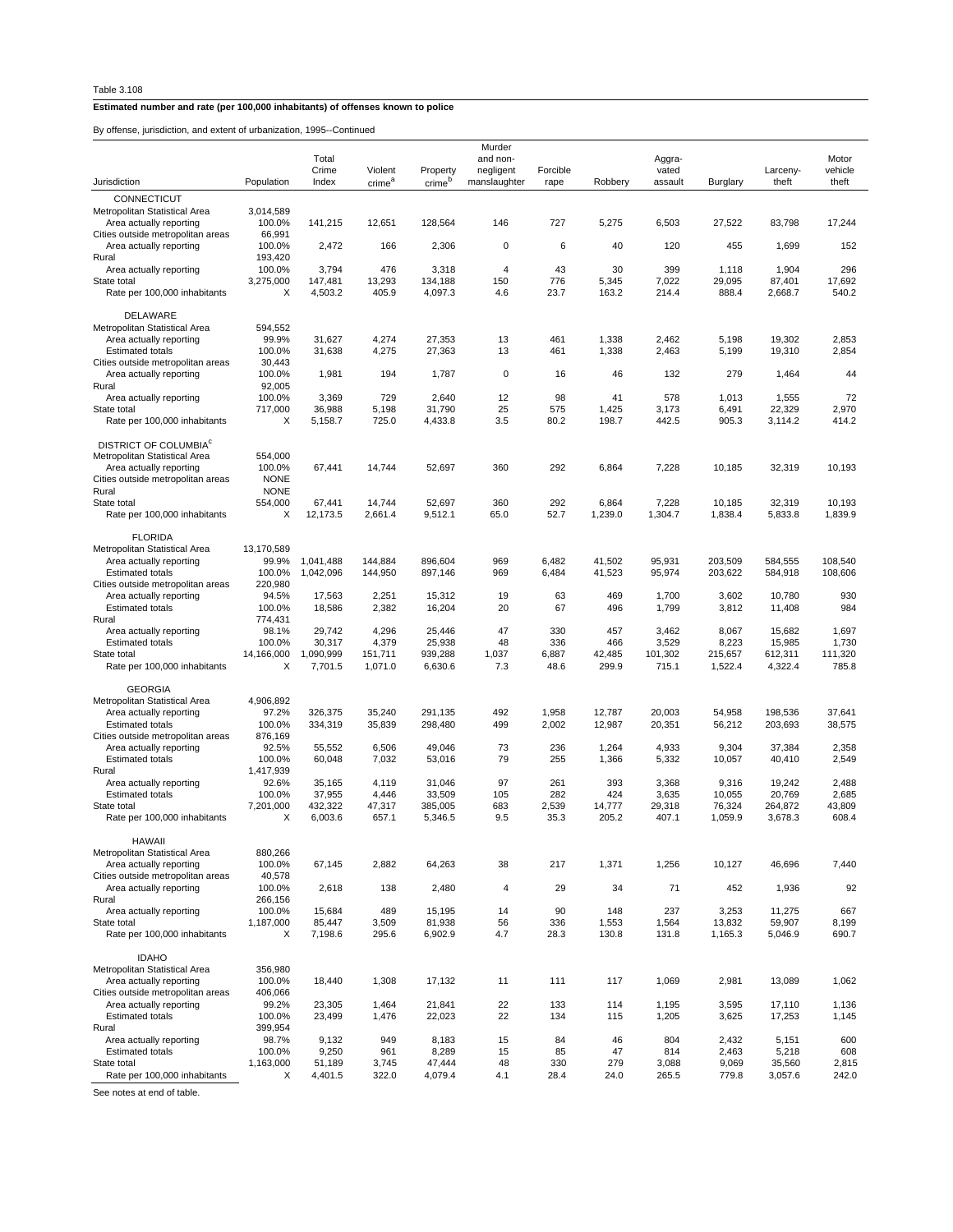By offense, jurisdiction, and extent of urbanization, 1995--Continued

|                                                              |                    |                        |                    |                    | Murder       |                |                  |                  |                    |                    |                    |
|--------------------------------------------------------------|--------------------|------------------------|--------------------|--------------------|--------------|----------------|------------------|------------------|--------------------|--------------------|--------------------|
|                                                              |                    | Total                  |                    |                    | and non-     |                |                  | Aggra-           |                    |                    | Motor              |
|                                                              |                    | Crime                  | Violent            | Property           | negligent    | Forcible       |                  | vated            |                    | Larceny-           | vehicle            |
| Jurisdiction                                                 | Population         | Index                  | crime <sup>a</sup> | crime <sup>b</sup> | manslaughter | rape           | Robberv          | assault          | Burglary           | theft              | theft              |
| CONNECTICUT                                                  |                    |                        |                    |                    |              |                |                  |                  |                    |                    |                    |
| Metropolitan Statistical Area                                | 3,014,589          |                        |                    |                    |              |                |                  |                  |                    |                    |                    |
| Area actually reporting                                      | 100.0%             | 141,215                | 12,651             | 128,564            | 146          | 727            | 5,275            | 6,503            | 27,522             | 83,798             | 17,244             |
| Cities outside metropolitan areas                            | 66,991             |                        |                    |                    |              |                |                  |                  |                    |                    |                    |
| Area actually reporting<br>Rural                             | 100.0%<br>193,420  | 2,472                  | 166                | 2,306              | $\mathbf 0$  | 6              | 40               | 120              | 455                | 1,699              | 152                |
| Area actually reporting                                      | 100.0%             | 3,794                  | 476                | 3,318              | 4            | 43             | 30               | 399              | 1,118              | 1,904              | 296                |
| State total                                                  | 3,275,000          | 147,481                | 13,293             | 134,188            | 150          | 776            | 5,345            | 7,022            | 29,095             | 87,401             | 17,692             |
| Rate per 100,000 inhabitants                                 | X                  | 4,503.2                | 405.9              | 4,097.3            | 4.6          | 23.7           | 163.2            | 214.4            | 888.4              | 2,668.7            | 540.2              |
|                                                              |                    |                        |                    |                    |              |                |                  |                  |                    |                    |                    |
| DELAWARE                                                     |                    |                        |                    |                    |              |                |                  |                  |                    |                    |                    |
| Metropolitan Statistical Area                                | 594,552            |                        |                    |                    |              |                |                  |                  |                    |                    |                    |
| Area actually reporting<br><b>Estimated totals</b>           | 99.9%<br>100.0%    | 31,627<br>31,638       | 4,274<br>4,275     | 27,353<br>27,363   | 13<br>13     | 461<br>461     | 1,338<br>1,338   | 2,462<br>2,463   | 5,198<br>5,199     | 19.302<br>19,310   | 2,853<br>2,854     |
| Cities outside metropolitan areas                            | 30,443             |                        |                    |                    |              |                |                  |                  |                    |                    |                    |
| Area actually reporting                                      | 100.0%             | 1,981                  | 194                | 1,787              | $\mathbf 0$  | 16             | 46               | 132              | 279                | 1,464              | 44                 |
| Rural                                                        | 92,005             |                        |                    |                    |              |                |                  |                  |                    |                    |                    |
| Area actually reporting                                      | 100.0%             | 3,369                  | 729                | 2,640              | 12           | 98             | 41               | 578              | 1,013              | 1,555              | 72                 |
| State total                                                  | 717,000            | 36,988                 | 5,198              | 31,790             | 25           | 575            | 1,425            | 3,173            | 6,491              | 22,329             | 2,970              |
| Rate per 100,000 inhabitants                                 | Х                  | 5,158.7                | 725.0              | 4,433.8            | 3.5          | 80.2           | 198.7            | 442.5            | 905.3              | 3,114.2            | 414.2              |
|                                                              |                    |                        |                    |                    |              |                |                  |                  |                    |                    |                    |
| DISTRICT OF COLUMBIA <sup>C</sup>                            |                    |                        |                    |                    |              |                |                  |                  |                    |                    |                    |
| Metropolitan Statistical Area<br>Area actually reporting     | 554,000<br>100.0%  | 67,441                 | 14,744             | 52,697             | 360          | 292            | 6,864            | 7,228            | 10,185             | 32,319             | 10,193             |
| Cities outside metropolitan areas                            | <b>NONE</b>        |                        |                    |                    |              |                |                  |                  |                    |                    |                    |
| Rural                                                        | <b>NONE</b>        |                        |                    |                    |              |                |                  |                  |                    |                    |                    |
| State total                                                  | 554,000            | 67,441                 | 14,744             | 52,697             | 360          | 292            | 6,864            | 7,228            | 10,185             | 32,319             | 10,193             |
| Rate per 100,000 inhabitants                                 | Х                  | 12,173.5               | 2,661.4            | 9,512.1            | 65.0         | 52.7           | 1,239.0          | 1,304.7          | 1,838.4            | 5,833.8            | 1,839.9            |
|                                                              |                    |                        |                    |                    |              |                |                  |                  |                    |                    |                    |
| <b>FLORIDA</b>                                               |                    |                        |                    |                    |              |                |                  |                  |                    |                    |                    |
| Metropolitan Statistical Area                                | 13,170,589         |                        |                    |                    |              |                |                  |                  |                    |                    |                    |
| Area actually reporting<br><b>Estimated totals</b>           | 99.9%<br>100.0%    | 1,041,488<br>1,042,096 | 144,884<br>144,950 | 896,604<br>897,146 | 969<br>969   | 6,482<br>6,484 | 41,502<br>41,523 | 95,931<br>95,974 | 203,509<br>203,622 | 584,555<br>584,918 | 108,540<br>108,606 |
| Cities outside metropolitan areas                            | 220,980            |                        |                    |                    |              |                |                  |                  |                    |                    |                    |
| Area actually reporting                                      | 94.5%              | 17,563                 | 2,251              | 15,312             | 19           | 63             | 469              | 1,700            | 3,602              | 10,780             | 930                |
| <b>Estimated totals</b>                                      | 100.0%             | 18,586                 | 2,382              | 16,204             | 20           | 67             | 496              | 1,799            | 3,812              | 11,408             | 984                |
| Rural                                                        | 774,431            |                        |                    |                    |              |                |                  |                  |                    |                    |                    |
| Area actually reporting                                      | 98.1%              | 29,742                 | 4,296              | 25,446             | 47           | 330            | 457              | 3,462            | 8,067              | 15,682             | 1,697              |
| <b>Estimated totals</b>                                      | 100.0%             | 30,317                 | 4,379              | 25,938             | 48           | 336            | 466              | 3,529            | 8,223              | 15,985             | 1,730              |
| State total                                                  | 14,166,000         | 1,090,999              | 151,711            | 939,288            | 1,037        | 6,887          | 42,485           | 101,302          | 215,657            | 612,311            | 111,320            |
| Rate per 100,000 inhabitants                                 | Х                  | 7,701.5                | 1,071.0            | 6,630.6            | 7.3          | 48.6           | 299.9            | 715.1            | 1,522.4            | 4,322.4            | 785.8              |
| <b>GEORGIA</b>                                               |                    |                        |                    |                    |              |                |                  |                  |                    |                    |                    |
| Metropolitan Statistical Area                                | 4,906,892          |                        |                    |                    |              |                |                  |                  |                    |                    |                    |
| Area actually reporting                                      | 97.2%              | 326,375                | 35,240             | 291,135            | 492          | 1,958          | 12,787           | 20,003           | 54,958             | 198,536            | 37,641             |
| <b>Estimated totals</b>                                      | 100.0%             | 334,319                | 35,839             | 298,480            | 499          | 2,002          | 12,987           | 20,351           | 56,212             | 203,693            | 38,575             |
| Cities outside metropolitan areas                            | 876,169            |                        |                    |                    |              |                |                  |                  |                    |                    |                    |
| Area actually reporting                                      | 92.5%              | 55,552                 | 6,506              | 49,046             | 73           | 236            | 1,264            | 4,933            | 9,304              | 37,384             | 2,358              |
| <b>Estimated totals</b>                                      | 100.0%             | 60,048                 | 7,032              | 53,016             | 79           | 255            | 1,366            | 5,332            | 10,057             | 40,410             | 2,549              |
| Rural<br>Area actually reporting                             | 1,417,939<br>92.6% | 35,165                 | 4,119              | 31,046             | 97           | 261            | 393              | 3,368            | 9,316              | 19,242             | 2,488              |
| <b>Estimated totals</b>                                      | 100.0%             | 37,955                 | 4,446              | 33,509             | 105          | 282            | 424              | 3,635            | 10,055             | 20,769             | 2,685              |
| State total                                                  | 7,201,000          | 432,322                | 47,317             | 385,005            | 683          | 2,539          | 14,777           | 29,318           | 76,324             | 264,872            | 43,809             |
| Rate per 100,000 inhabitants                                 | Х                  | 6,003.6                | 657.1              | 5,346.5            | 9.5          | 35.3           | 205.2            | 407.1            | 1,059.9            | 3,678.3            | 608.4              |
|                                                              |                    |                        |                    |                    |              |                |                  |                  |                    |                    |                    |
| <b>HAWAII</b>                                                |                    |                        |                    |                    |              |                |                  |                  |                    |                    |                    |
| Metropolitan Statistical Area                                | 880,266            |                        |                    |                    |              |                |                  |                  |                    |                    |                    |
| Area actually reporting                                      | 100.0%             | 67,145                 | 2,882              | 64,263             | 38           | 217            | 1,371            | 1,256            | 10,127             | 46,696             | 7,440              |
| Cities outside metropolitan areas<br>Area actually reporting | 40,578             |                        |                    |                    |              |                |                  |                  |                    |                    |                    |
| Rural                                                        | 100.0%<br>266,156  | 2,618                  | 138                | 2,480              | 4            | 29             | 34               | 71               | 452                | 1,936              | 92                 |
| Area actually reporting                                      | 100.0%             | 15,684                 | 489                | 15,195             | 14           | 90             | 148              | 237              | 3,253              | 11,275             | 667                |
| State total                                                  | 1,187,000          | 85,447                 | 3,509              | 81,938             | 56           | 336            | 1,553            | 1,564            | 13,832             | 59,907             | 8,199              |
| Rate per 100,000 inhabitants                                 | Х                  | 7,198.6                | 295.6              | 6,902.9            | 4.7          | 28.3           | 130.8            | 131.8            | 1,165.3            | 5,046.9            | 690.7              |
|                                                              |                    |                        |                    |                    |              |                |                  |                  |                    |                    |                    |
| <b>IDAHO</b>                                                 |                    |                        |                    |                    |              |                |                  |                  |                    |                    |                    |
| Metropolitan Statistical Area                                | 356,980            |                        |                    |                    |              |                |                  |                  |                    |                    |                    |
| Area actually reporting                                      | 100.0%             | 18,440                 | 1,308              | 17,132             | 11           | 111            | 117              | 1,069            | 2,981              | 13,089             | 1,062              |
| Cities outside metropolitan areas<br>Area actually reporting | 406,066<br>99.2%   | 23,305                 | 1,464              | 21,841             | 22           | 133            | 114              | 1,195            | 3,595              | 17,110             | 1,136              |
| <b>Estimated totals</b>                                      | 100.0%             | 23,499                 | 1,476              | 22,023             | 22           | 134            | 115              | 1,205            | 3,625              | 17,253             | 1,145              |
| Rural                                                        | 399,954            |                        |                    |                    |              |                |                  |                  |                    |                    |                    |
| Area actually reporting                                      | 98.7%              | 9,132                  | 949                | 8,183              | 15           | 84             | 46               | 804              | 2,432              | 5,151              | 600                |
| <b>Estimated totals</b>                                      | 100.0%             | 9,250                  | 961                | 8,289              | 15           | 85             | 47               | 814              | 2,463              | 5,218              | 608                |
| State total                                                  | 1,163,000          | 51,189                 | 3,745              | 47,444             | 48           | 330            | 279              | 3,088            | 9,069              | 35,560             | 2,815              |
| Rate per 100,000 inhabitants                                 | Х                  | 4,401.5                | 322.0              | 4,079.4            | 4.1          | 28.4           | 24.0             | 265.5            | 779.8              | 3,057.6            | 242.0              |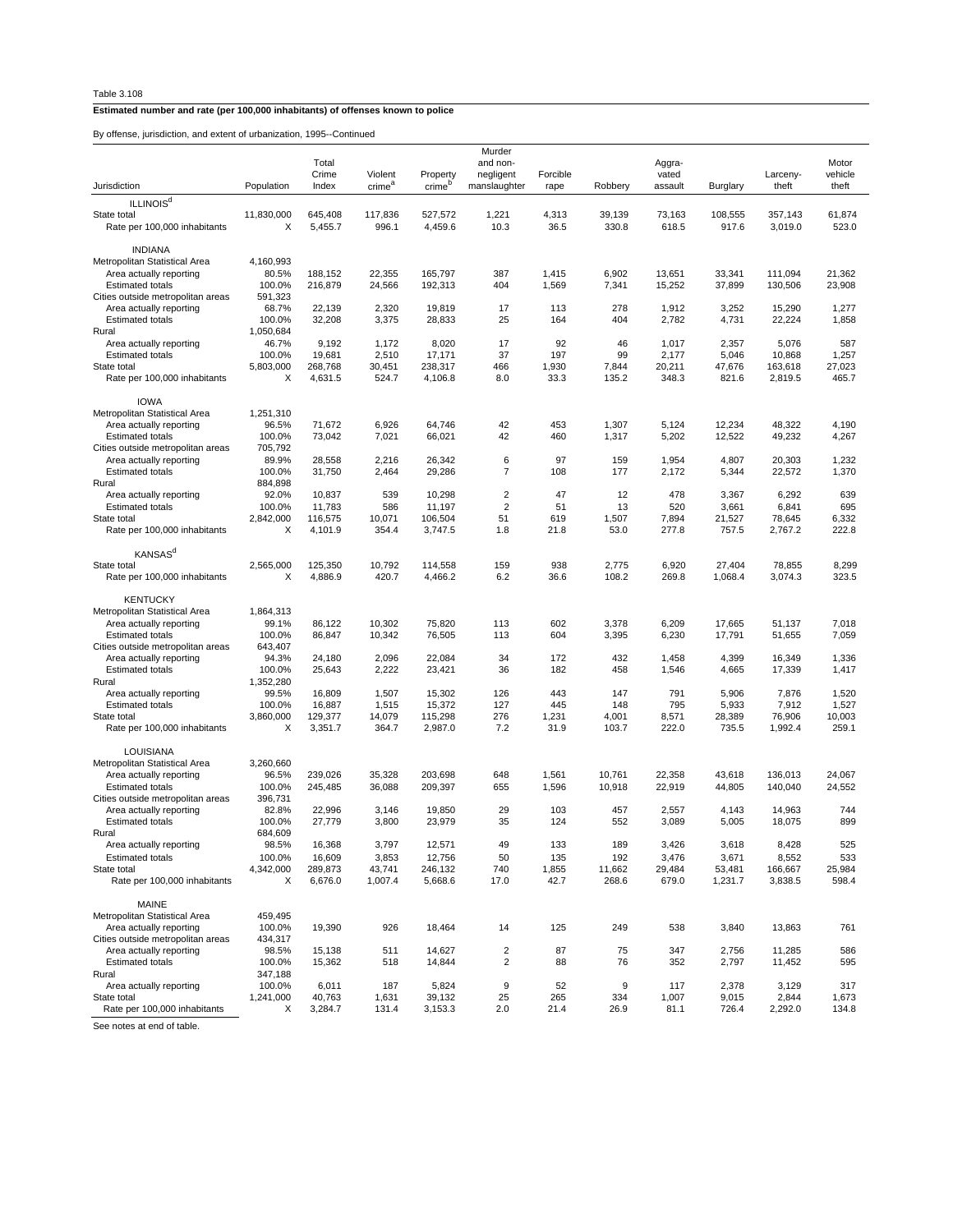By offense, jurisdiction, and extent of urbanization, 1995--Continued

|                                                              |                     | Total<br>Crime     | Violent            | Property           | Murder<br>and non-<br>negligent | Forcible      |                 | Aggra-<br>vated |                   | Larceny-           | Motor<br>vehicle |
|--------------------------------------------------------------|---------------------|--------------------|--------------------|--------------------|---------------------------------|---------------|-----------------|-----------------|-------------------|--------------------|------------------|
| Jurisdiction                                                 | Population          | Index              | crime <sup>a</sup> | crime <sup>b</sup> | manslaughter                    | rape          | Robbery         | assault         | Burglary          | theft              | theft            |
| <b>ILLINOIS<sup>d</sup></b>                                  |                     |                    |                    |                    |                                 |               |                 |                 |                   |                    |                  |
| State total<br>Rate per 100,000 inhabitants                  | 11,830,000<br>X     | 645,408<br>5,455.7 | 117,836<br>996.1   | 527,572<br>4,459.6 | 1,221<br>10.3                   | 4,313<br>36.5 | 39,139<br>330.8 | 73,163<br>618.5 | 108,555<br>917.6  | 357,143<br>3,019.0 | 61,874<br>523.0  |
| <b>INDIANA</b><br>Metropolitan Statistical Area              | 4,160,993           |                    |                    |                    |                                 |               |                 |                 |                   |                    |                  |
| Area actually reporting                                      | 80.5%               | 188,152            | 22,355             | 165,797            | 387                             | 1,415         | 6,902           | 13,651          | 33,341            | 111,094            | 21,362           |
| <b>Estimated totals</b><br>Cities outside metropolitan areas | 100.0%<br>591,323   | 216,879            | 24,566             | 192,313            | 404                             | 1,569         | 7,341           | 15,252          | 37,899            | 130,506            | 23,908           |
| Area actually reporting                                      | 68.7%               | 22,139             | 2,320              | 19,819             | 17                              | 113           | 278             | 1,912           | 3,252             | 15,290             | 1,277            |
| <b>Estimated totals</b>                                      | 100.0%              | 32,208             | 3,375              | 28,833             | 25                              | 164           | 404             | 2,782           | 4,731             | 22,224             | 1,858            |
| Rural                                                        | 1,050,684           |                    |                    |                    |                                 |               |                 |                 |                   |                    |                  |
| Area actually reporting                                      | 46.7%               | 9,192              | 1,172              | 8,020              | 17<br>37                        | 92<br>197     | 46<br>99        | 1,017           | 2,357             | 5,076              | 587              |
| <b>Estimated totals</b><br>State total                       | 100.0%<br>5,803,000 | 19,681<br>268,768  | 2,510<br>30,451    | 17,171<br>238,317  | 466                             | 1,930         | 7,844           | 2,177<br>20,211 | 5,046<br>47,676   | 10,868<br>163,618  | 1,257<br>27,023  |
| Rate per 100,000 inhabitants                                 | X                   | 4,631.5            | 524.7              | 4,106.8            | 8.0                             | 33.3          | 135.2           | 348.3           | 821.6             | 2,819.5            | 465.7            |
| <b>IOWA</b>                                                  |                     |                    |                    |                    |                                 |               |                 |                 |                   |                    |                  |
| Metropolitan Statistical Area                                | 1,251,310           |                    |                    |                    |                                 |               |                 |                 |                   |                    |                  |
| Area actually reporting                                      | 96.5%               | 71,672             | 6,926              | 64,746             | 42                              | 453           | 1,307           | 5,124           | 12,234            | 48,322             | 4,190            |
| <b>Estimated totals</b><br>Cities outside metropolitan areas | 100.0%<br>705,792   | 73,042             | 7,021              | 66,021             | 42                              | 460           | 1,317           | 5,202           | 12,522            | 49,232             | 4,267            |
| Area actually reporting                                      | 89.9%               | 28,558             | 2,216              | 26,342             | 6                               | 97            | 159             | 1,954           | 4,807             | 20,303             | 1,232            |
| <b>Estimated totals</b>                                      | 100.0%              | 31,750             | 2,464              | 29,286             | 7                               | 108           | 177             | 2,172           | 5,344             | 22,572             | 1,370            |
| Rural                                                        | 884,898             |                    |                    |                    |                                 |               |                 |                 |                   |                    |                  |
| Area actually reporting                                      | 92.0%               | 10,837             | 539                | 10,298             | $\overline{2}$                  | 47            | 12              | 478             | 3,367             | 6,292              | 639              |
| <b>Estimated totals</b><br>State total                       | 100.0%              | 11,783             | 586                | 11,197             | $\overline{2}$                  | 51            | 13              | 520             | 3,661             | 6,841              | 695              |
| Rate per 100,000 inhabitants                                 | 2,842,000<br>X      | 116,575<br>4,101.9 | 10,071<br>354.4    | 106,504<br>3,747.5 | 51<br>1.8                       | 619<br>21.8   | 1,507<br>53.0   | 7,894<br>277.8  | 21,527<br>757.5   | 78,645<br>2.767.2  | 6,332<br>222.8   |
|                                                              |                     |                    |                    |                    |                                 |               |                 |                 |                   |                    |                  |
| KANSAS <sup>d</sup>                                          |                     |                    |                    |                    |                                 |               |                 |                 |                   |                    |                  |
| State total                                                  | 2,565,000           | 125,350            | 10,792             | 114,558            | 159                             | 938           | 2,775           | 6,920           | 27,404            | 78,855             | 8,299            |
| Rate per 100,000 inhabitants                                 | X                   | 4.886.9            | 420.7              | 4,466.2            | 6.2                             | 36.6          | 108.2           | 269.8           | 1,068.4           | 3,074.3            | 323.5            |
| <b>KENTUCKY</b><br>Metropolitan Statistical Area             | 1,864,313           |                    |                    |                    |                                 |               |                 |                 |                   |                    |                  |
| Area actually reporting                                      | 99.1%               | 86,122             | 10,302             | 75,820             | 113                             | 602           | 3,378           | 6,209           | 17,665            | 51,137             | 7,018            |
| <b>Estimated totals</b>                                      | 100.0%              | 86,847             | 10,342             | 76,505             | 113                             | 604           | 3,395           | 6,230           | 17,791            | 51,655             | 7,059            |
| Cities outside metropolitan areas                            | 643,407             |                    |                    |                    |                                 |               |                 |                 |                   |                    |                  |
| Area actually reporting                                      | 94.3%               | 24,180             | 2,096              | 22,084             | 34                              | 172           | 432             | 1,458           | 4,399             | 16,349             | 1,336            |
| <b>Estimated totals</b>                                      | 100.0%              | 25,643             | 2,222              | 23,421             | 36                              | 182           | 458             | 1,546           | 4,665             | 17,339             | 1,417            |
| Rural<br>Area actually reporting                             | 1,352,280<br>99.5%  | 16,809             | 1,507              | 15,302             | 126                             | 443           | 147             | 791             | 5,906             | 7,876              | 1,520            |
| <b>Estimated totals</b>                                      | 100.0%              | 16,887             | 1,515              | 15,372             | 127                             | 445           | 148             | 795             | 5,933             | 7,912              | 1,527            |
| State total                                                  | 3,860,000           | 129,377            | 14,079             | 115,298            | 276                             | 1,231         | 4,001           | 8,571           | 28,389            | 76,906             | 10,003           |
| Rate per 100,000 inhabitants                                 | X                   | 3,351.7            | 364.7              | 2,987.0            | 7.2                             | 31.9          | 103.7           | 222.0           | 735.5             | 1,992.4            | 259.1            |
| LOUISIANA                                                    |                     |                    |                    |                    |                                 |               |                 |                 |                   |                    |                  |
| Metropolitan Statistical Area                                | 3,260,660           |                    |                    |                    |                                 |               |                 |                 |                   |                    |                  |
| Area actually reporting                                      | 96.5%               | 239,026            | 35,328             | 203,698            | 648                             | 1,561         | 10,761          | 22,358          | 43,618            | 136,013            | 24,067           |
| <b>Estimated totals</b><br>Cities outside metropolitan areas | 100.0%<br>396,731   | 245,485            | 36,088             | 209,397            | 655                             | 1,596         | 10,918          | 22,919          | 44,805            | 140,040            | 24,552           |
| Area actually reporting                                      | 82.8%               | 22.996             | 3,146              | 19,850             | 29                              | 103           | 457             | 2,557           | 4,143             | 14,963             | 744              |
| <b>Estimated totals</b>                                      | 100.0%              | 27,779             | 3,800              | 23,979             | 35                              | 124           | 552             | 3,089           | 5,005             | 18,075             | 899              |
| Rural                                                        | 684,609             |                    |                    |                    |                                 |               |                 |                 |                   |                    |                  |
| Area actually reporting                                      | 98.5%               | 16,368             | 3,797              | 12,571             | 49                              | 133           | 189             | 3,426           | 3,618             | 8,428              | 525              |
| <b>Estimated totals</b>                                      | 100.0%              | 16,609             | 3,853              | 12,756             | 50                              | 135           | 192             | 3,476           | 3,671             | 8,552              | 533              |
| State total<br>Rate per 100,000 inhabitants                  | 4,342,000<br>х      | 289,873<br>6,676.0 | 43,741<br>1,007.4  | 246,132<br>5,668.6 | 740<br>17.0                     | 1,855<br>42.7 | 11,662<br>268.6 | 29,484<br>679.0 | 53,481<br>1,231.7 | 166,667<br>3,838.5 | 25,984<br>598.4  |
|                                                              |                     |                    |                    |                    |                                 |               |                 |                 |                   |                    |                  |
| MAINE                                                        |                     |                    |                    |                    |                                 |               |                 |                 |                   |                    |                  |
| Metropolitan Statistical Area                                | 459,495             |                    |                    |                    |                                 |               |                 |                 |                   |                    |                  |
| Area actually reporting<br>Cities outside metropolitan areas | 100.0%              | 19,390             | 926                | 18,464             | 14                              | 125           | 249             | 538             | 3,840             | 13,863             | 761              |
| Area actually reporting                                      | 434,317<br>98.5%    | 15,138             | 511                | 14,627             | $\overline{\mathbf{c}}$         | 87            | 75              | 347             | 2,756             | 11,285             | 586              |
| <b>Estimated totals</b>                                      | 100.0%              | 15,362             | 518                | 14,844             | $\overline{c}$                  | 88            | 76              | 352             | 2,797             | 11,452             | 595              |
| Rural                                                        | 347,188             |                    |                    |                    |                                 |               |                 |                 |                   |                    |                  |
| Area actually reporting                                      | 100.0%              | 6,011              | 187                | 5,824              | 9                               | 52            | 9               | 117             | 2,378             | 3,129              | 317              |
| State total                                                  | 1,241,000           | 40,763             | 1,631              | 39,132             | 25                              | 265           | 334             | 1,007           | 9,015             | 2,844              | 1,673            |
| Rate per 100,000 inhabitants                                 | Х                   | 3,284.7            | 131.4              | 3,153.3            | 2.0                             | 21.4          | 26.9            | 81.1            | 726.4             | 2,292.0            | 134.8            |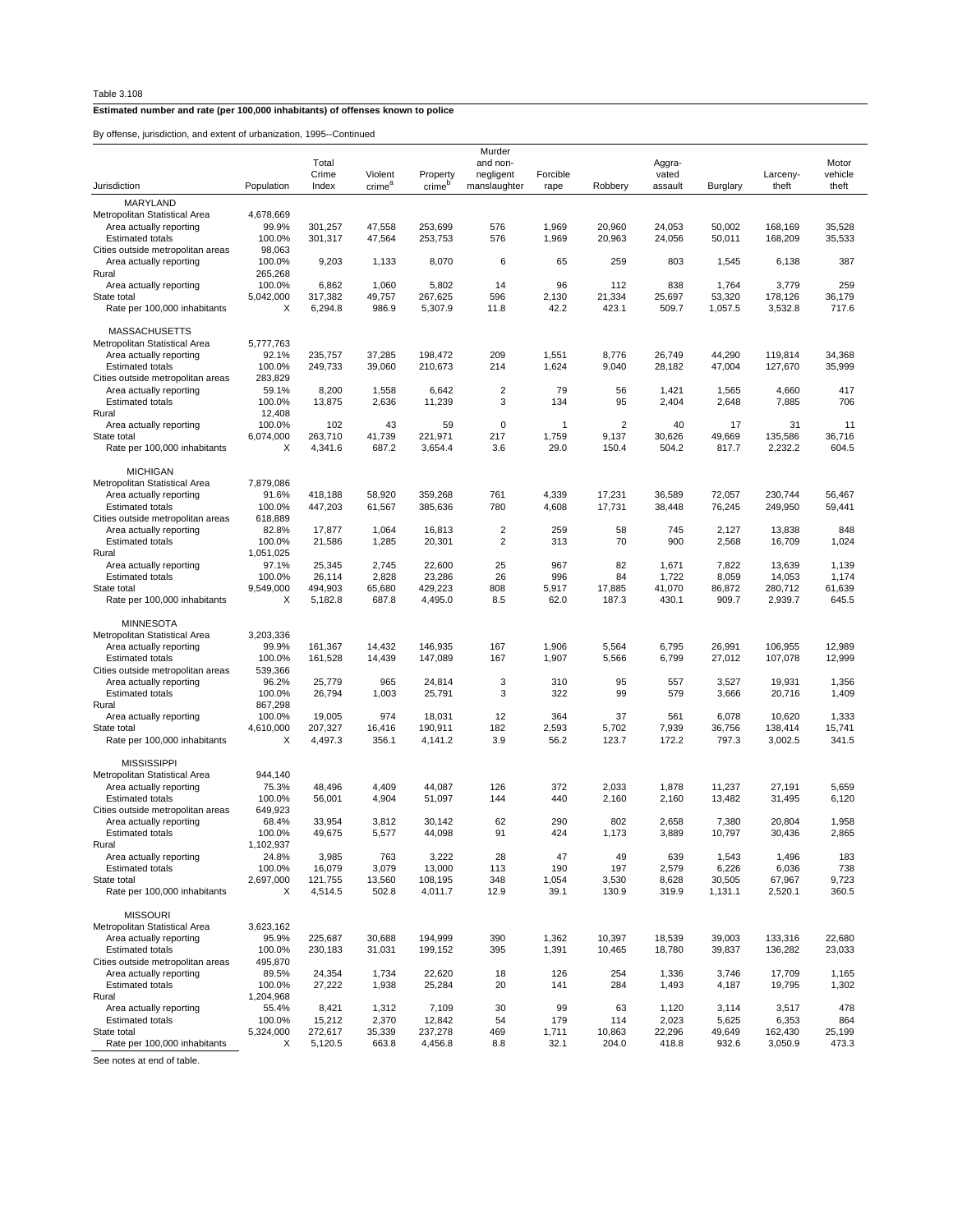By offense, jurisdiction, and extent of urbanization, 1995--Continued

|                                                              |                   | Total            |                    |                    | Murder<br>and non-               |              |                | Aggra-     |                |                  | Motor        |
|--------------------------------------------------------------|-------------------|------------------|--------------------|--------------------|----------------------------------|--------------|----------------|------------|----------------|------------------|--------------|
|                                                              |                   | Crime            | Violent            | Property           | negligent                        | Forcible     |                | vated      |                | Larceny-         | vehicle      |
| Jurisdiction                                                 | Population        | Index            | crime <sup>a</sup> | crime <sup>p</sup> | manslaughter                     | rape         | Robbery        | assault    | Burglary       | theft            | theft        |
| MARYLAND                                                     |                   |                  |                    |                    |                                  |              |                |            |                |                  |              |
| Metropolitan Statistical Area                                | 4,678,669         |                  |                    |                    |                                  |              |                |            |                |                  |              |
| Area actually reporting                                      | 99.9%             | 301,257          | 47,558             | 253.699            | 576                              | 1,969        | 20,960         | 24.053     | 50,002         | 168.169          | 35,528       |
| <b>Estimated totals</b>                                      | 100.0%            | 301,317          | 47,564             | 253,753            | 576                              | 1,969        | 20,963         | 24,056     | 50,011         | 168,209          | 35,533       |
| Cities outside metropolitan areas                            | 98,063            |                  |                    |                    |                                  |              |                |            |                |                  |              |
| Area actually reporting                                      | 100.0%            | 9,203            | 1,133              | 8,070              | 6                                | 65           | 259            | 803        | 1,545          | 6,138            | 387          |
| Rural<br>Area actually reporting                             | 265,268<br>100.0% | 6,862            | 1,060              | 5,802              | 14                               | 96           | 112            | 838        | 1,764          | 3,779            | 259          |
| State total                                                  | 5,042,000         | 317,382          | 49,757             | 267,625            | 596                              | 2,130        | 21,334         | 25,697     | 53,320         | 178,126          | 36,179       |
| Rate per 100,000 inhabitants                                 | X                 | 6,294.8          | 986.9              | 5,307.9            | 11.8                             | 42.2         | 423.1          | 509.7      | 1,057.5        | 3,532.8          | 717.6        |
|                                                              |                   |                  |                    |                    |                                  |              |                |            |                |                  |              |
| <b>MASSACHUSETTS</b>                                         |                   |                  |                    |                    |                                  |              |                |            |                |                  |              |
| Metropolitan Statistical Area                                | 5,777,763         |                  |                    |                    |                                  |              |                |            |                |                  |              |
| Area actually reporting                                      | 92.1%             | 235,757          | 37,285             | 198,472            | 209                              | 1,551        | 8,776          | 26,749     | 44,290         | 119,814          | 34,368       |
| <b>Estimated totals</b>                                      | 100.0%            | 249,733          | 39,060             | 210,673            | 214                              | 1,624        | 9,040          | 28,182     | 47,004         | 127,670          | 35,999       |
| Cities outside metropolitan areas                            | 283,829           |                  |                    |                    |                                  |              |                |            |                |                  |              |
| Area actually reporting                                      | 59.1%             | 8,200            | 1,558              | 6,642              | $\overline{2}$<br>3              | 79           | 56<br>95       | 1,421      | 1,565          | 4,660            | 417          |
| <b>Estimated totals</b><br>Rural                             | 100.0%<br>12,408  | 13,875           | 2,636              | 11,239             |                                  | 134          |                | 2,404      | 2,648          | 7,885            | 706          |
| Area actually reporting                                      | 100.0%            | 102              | 43                 | 59                 | $\pmb{0}$                        | $\mathbf{1}$ | $\overline{2}$ | 40         | 17             | 31               | 11           |
| State total                                                  | 6,074,000         | 263,710          | 41,739             | 221,971            | 217                              | 1,759        | 9,137          | 30,626     | 49,669         | 135,586          | 36,716       |
| Rate per 100,000 inhabitants                                 | X                 | 4,341.6          | 687.2              | 3,654.4            | 3.6                              | 29.0         | 150.4          | 504.2      | 817.7          | 2,232.2          | 604.5        |
|                                                              |                   |                  |                    |                    |                                  |              |                |            |                |                  |              |
| <b>MICHIGAN</b>                                              |                   |                  |                    |                    |                                  |              |                |            |                |                  |              |
| Metropolitan Statistical Area                                | 7,879,086         |                  |                    |                    |                                  |              |                |            |                |                  |              |
| Area actually reporting                                      | 91.6%             | 418,188          | 58,920             | 359,268            | 761                              | 4,339        | 17,231         | 36,589     | 72,057         | 230,744          | 56,467       |
| <b>Estimated totals</b>                                      | 100.0%            | 447,203          | 61,567             | 385,636            | 780                              | 4,608        | 17,731         | 38,448     | 76,245         | 249,950          | 59,441       |
| Cities outside metropolitan areas                            | 618,889           |                  |                    |                    |                                  |              |                |            |                |                  |              |
| Area actually reporting<br><b>Estimated totals</b>           | 82.8%<br>100.0%   | 17,877<br>21,586 | 1,064<br>1,285     | 16,813<br>20,301   | $\overline{2}$<br>$\overline{2}$ | 259<br>313   | 58<br>70       | 745<br>900 | 2,127<br>2,568 | 13,838<br>16,709 | 848<br>1,024 |
| Rural                                                        | 1,051,025         |                  |                    |                    |                                  |              |                |            |                |                  |              |
| Area actually reporting                                      | 97.1%             | 25,345           | 2,745              | 22,600             | 25                               | 967          | 82             | 1,671      | 7,822          | 13,639           | 1,139        |
| <b>Estimated totals</b>                                      | 100.0%            | 26,114           | 2,828              | 23,286             | 26                               | 996          | 84             | 1,722      | 8,059          | 14,053           | 1,174        |
| State total                                                  | 9,549,000         | 494,903          | 65,680             | 429,223            | 808                              | 5,917        | 17,885         | 41,070     | 86,872         | 280,712          | 61,639       |
| Rate per 100,000 inhabitants                                 | X                 | 5,182.8          | 687.8              | 4,495.0            | 8.5                              | 62.0         | 187.3          | 430.1      | 909.7          | 2,939.7          | 645.5        |
|                                                              |                   |                  |                    |                    |                                  |              |                |            |                |                  |              |
| <b>MINNESOTA</b>                                             |                   |                  |                    |                    |                                  |              |                |            |                |                  |              |
| Metropolitan Statistical Area                                | 3,203,336         |                  |                    |                    |                                  |              |                |            |                |                  |              |
| Area actually reporting                                      | 99.9%             | 161,367          | 14,432             | 146,935            | 167                              | 1,906        | 5,564          | 6,795      | 26,991         | 106,955          | 12,989       |
| <b>Estimated totals</b><br>Cities outside metropolitan areas | 100.0%<br>539,366 | 161,528          | 14,439             | 147,089            | 167                              | 1,907        | 5,566          | 6,799      | 27,012         | 107,078          | 12,999       |
| Area actually reporting                                      | 96.2%             | 25,779           | 965                | 24,814             | 3                                | 310          | 95             | 557        | 3,527          | 19,931           | 1,356        |
| <b>Estimated totals</b>                                      | 100.0%            | 26,794           | 1,003              | 25,791             | 3                                | 322          | 99             | 579        | 3,666          | 20,716           | 1,409        |
| Rural                                                        | 867,298           |                  |                    |                    |                                  |              |                |            |                |                  |              |
| Area actually reporting                                      | 100.0%            | 19,005           | 974                | 18,031             | 12                               | 364          | 37             | 561        | 6,078          | 10,620           | 1,333        |
| State total                                                  | 4,610,000         | 207,327          | 16,416             | 190,911            | 182                              | 2,593        | 5,702          | 7,939      | 36,756         | 138,414          | 15,741       |
| Rate per 100,000 inhabitants                                 | X                 | 4,497.3          | 356.1              | 4,141.2            | 3.9                              | 56.2         | 123.7          | 172.2      | 797.3          | 3,002.5          | 341.5        |
|                                                              |                   |                  |                    |                    |                                  |              |                |            |                |                  |              |
| <b>MISSISSIPPI</b>                                           |                   |                  |                    |                    |                                  |              |                |            |                |                  |              |
| Metropolitan Statistical Area<br>Area actually reporting     | 944,140<br>75.3%  | 48,496           | 4,409              | 44,087             | 126                              | 372          | 2,033          | 1,878      | 11,237         | 27,191           | 5,659        |
| <b>Estimated totals</b>                                      | 100.0%            | 56,001           | 4,904              | 51,097             | 144                              | 440          | 2,160          | 2,160      | 13,482         | 31,495           | 6,120        |
| Cities outside metropolitan areas                            | 649,923           |                  |                    |                    |                                  |              |                |            |                |                  |              |
| Area actually reporting                                      | 68.4%             | 33,954           | 3,812              | 30,142             | 62                               | 290          | 802            | 2,658      | 7,380          | 20,804           | 1,958        |
| <b>Estimated totals</b>                                      | 100.0%            | 49,675           | 5,577              | 44,098             | 91                               | 424          | 1,173          | 3,889      | 10,797         | 30,436           | 2.865        |
| Rural                                                        | 1,102,937         |                  |                    |                    |                                  |              |                |            |                |                  |              |
| Area actually reporting                                      | 24.8%             | 3,985            | 763                | 3,222              | 28                               | 47           | 49             | 639        | 1,543          | 1,496            | 183          |
| <b>Estimated totals</b>                                      | 100.0%            | 16,079           | 3,079              | 13,000             | 113                              | 190          | 197            | 2,579      | 6,226          | 6,036            | 738          |
| State total                                                  | 2,697,000         | 121,755          | 13,560             | 108,195            | 348                              | 1,054        | 3,530          | 8,628      | 30,505         | 67,967           | 9,723        |
| Rate per 100,000 inhabitants                                 | х                 | 4,514.5          | 502.8              | 4,011.7            | 12.9                             | 39.1         | 130.9          | 319.9      | 1,131.1        | 2,520.1          | 360.5        |
| <b>MISSOURI</b>                                              |                   |                  |                    |                    |                                  |              |                |            |                |                  |              |
| Metropolitan Statistical Area                                | 3,623,162         |                  |                    |                    |                                  |              |                |            |                |                  |              |
| Area actually reporting                                      | 95.9%             | 225,687          | 30,688             | 194,999            | 390                              | 1,362        | 10,397         | 18,539     | 39,003         | 133,316          | 22,680       |
| <b>Estimated totals</b>                                      | 100.0%            | 230,183          | 31,031             | 199,152            | 395                              | 1,391        | 10,465         | 18,780     | 39,837         | 136,282          | 23,033       |
| Cities outside metropolitan areas                            | 495,870           |                  |                    |                    |                                  |              |                |            |                |                  |              |
| Area actually reporting                                      | 89.5%             | 24,354           | 1,734              | 22,620             | 18                               | 126          | 254            | 1,336      | 3,746          | 17,709           | 1,165        |
| <b>Estimated totals</b>                                      | 100.0%            | 27,222           | 1,938              | 25,284             | 20                               | 141          | 284            | 1,493      | 4,187          | 19,795           | 1,302        |
| Rural                                                        | 1,204,968         |                  |                    |                    |                                  |              |                |            |                |                  |              |
| Area actually reporting                                      | 55.4%             | 8,421            | 1,312              | 7,109              | 30                               | 99           | 63             | 1,120      | 3,114          | 3,517            | 478          |
| <b>Estimated totals</b>                                      | 100.0%            | 15,212           | 2,370              | 12,842             | 54                               | 179          | 114            | 2,023      | 5,625          | 6,353            | 864          |
| State total                                                  | 5,324,000         | 272,617          | 35,339             | 237,278            | 469                              | 1,711        | 10,863         | 22,296     | 49,649         | 162,430          | 25,199       |
| Rate per 100,000 inhabitants                                 | х                 | 5,120.5          | 663.8              | 4,456.8            | 8.8                              | 32.1         | 204.0          | 418.8      | 932.6          | 3,050.9          | 473.3        |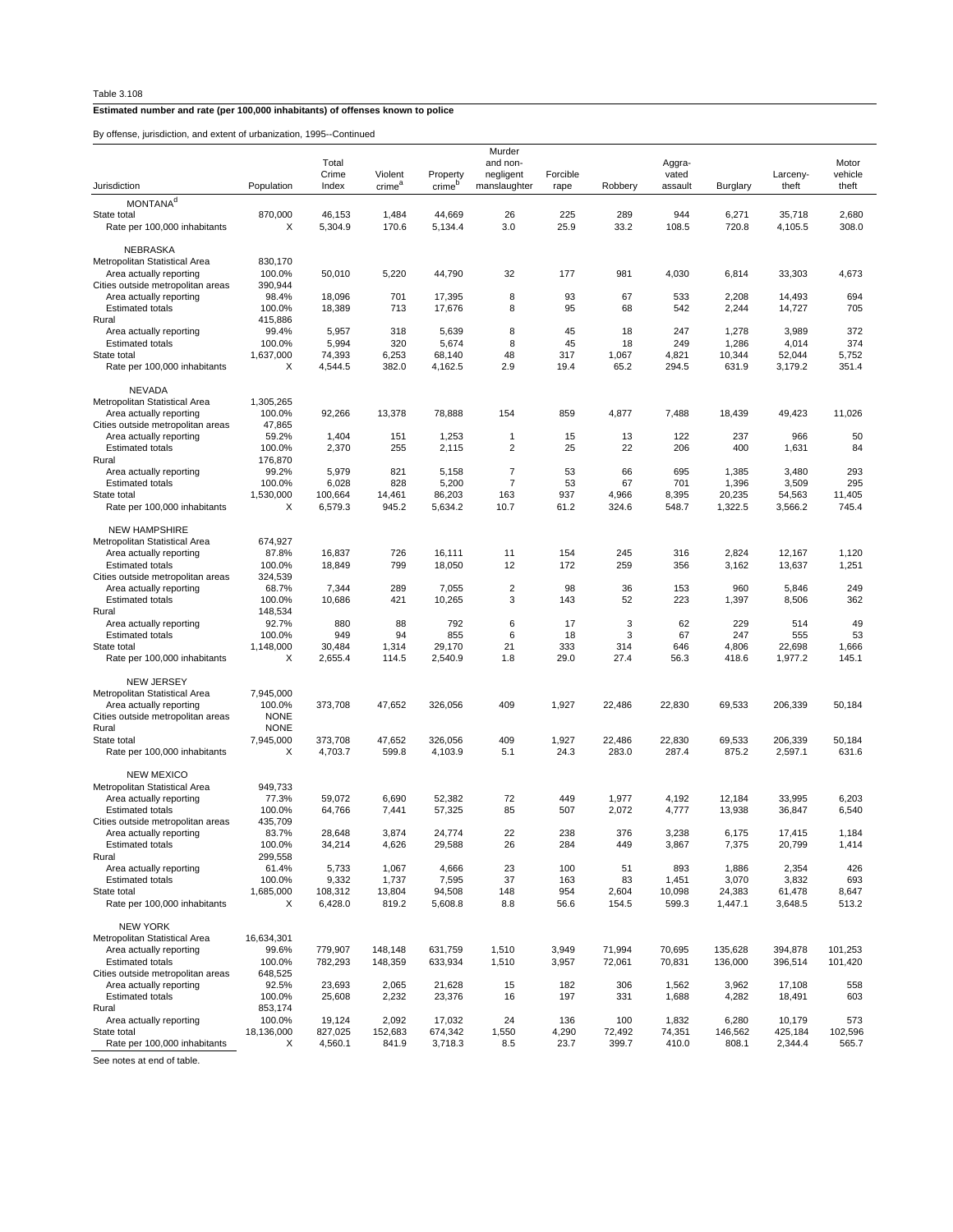By offense, jurisdiction, and extent of urbanization, 1995--Continued

| by onenac, junaulellon, and extern or unpaintanon, rood-oominided |                     |                    |                    |                    |                    |                |                  |                  |                    |                    |                    |
|-------------------------------------------------------------------|---------------------|--------------------|--------------------|--------------------|--------------------|----------------|------------------|------------------|--------------------|--------------------|--------------------|
|                                                                   |                     | Total              |                    |                    | Murder<br>and non- |                |                  |                  |                    |                    | Motor              |
|                                                                   |                     | Crime              | Violent            | Property           | negligent          | Forcible       |                  | Aggra-<br>vated  |                    | Larceny-           | vehicle            |
| Jurisdiction                                                      | Population          | Index              | crime <sup>a</sup> | crime <sup>b</sup> | manslaughter       | rape           | Robbery          | assault          | Burglary           | theft              | theft              |
| MONTANA <sup>d</sup>                                              |                     |                    |                    |                    |                    |                |                  |                  |                    |                    |                    |
| State total                                                       | 870,000             | 46,153             | 1,484              | 44,669             | 26                 | 225            | 289              | 944              | 6,271              | 35,718             | 2,680              |
| Rate per 100,000 inhabitants                                      | Х                   | 5,304.9            | 170.6              | 5,134.4            | 3.0                | 25.9           | 33.2             | 108.5            | 720.8              | 4,105.5            | 308.0              |
|                                                                   |                     |                    |                    |                    |                    |                |                  |                  |                    |                    |                    |
| NEBRASKA                                                          |                     |                    |                    |                    |                    |                |                  |                  |                    |                    |                    |
| Metropolitan Statistical Area                                     | 830,170             |                    |                    |                    |                    |                |                  |                  |                    |                    |                    |
| Area actually reporting<br>Cities outside metropolitan areas      | 100.0%<br>390,944   | 50,010             | 5,220              | 44,790             | 32                 | 177            | 981              | 4,030            | 6,814              | 33,303             | 4,673              |
| Area actually reporting                                           | 98.4%               | 18,096             | 701                | 17,395             | 8                  | 93             | 67               | 533              | 2,208              | 14,493             | 694                |
| <b>Estimated totals</b>                                           | 100.0%              | 18,389             | 713                | 17,676             | 8                  | 95             | 68               | 542              | 2,244              | 14,727             | 705                |
| Rural                                                             | 415,886             |                    |                    |                    |                    |                |                  |                  |                    |                    |                    |
| Area actually reporting                                           | 99.4%               | 5,957              | 318                | 5,639              | 8                  | 45             | 18               | 247              | 1,278              | 3,989              | 372                |
| <b>Estimated totals</b>                                           | 100.0%              | 5,994              | 320                | 5,674              | 8                  | 45             | 18               | 249              | 1,286              | 4,014              | 374                |
| State total                                                       | 1,637,000           | 74,393             | 6,253              | 68,140             | 48                 | 317            | 1,067            | 4,821            | 10,344             | 52,044             | 5,752              |
| Rate per 100,000 inhabitants                                      | X                   | 4,544.5            | 382.0              | 4,162.5            | 2.9                | 19.4           | 65.2             | 294.5            | 631.9              | 3,179.2            | 351.4              |
| <b>NEVADA</b>                                                     |                     |                    |                    |                    |                    |                |                  |                  |                    |                    |                    |
| Metropolitan Statistical Area                                     | 1,305,265           |                    |                    |                    |                    |                |                  |                  |                    |                    |                    |
| Area actually reporting                                           | 100.0%              | 92,266             | 13,378             | 78,888             | 154                | 859            | 4,877            | 7,488            | 18,439             | 49,423             | 11,026             |
| Cities outside metropolitan areas                                 | 47,865              |                    |                    |                    |                    |                |                  |                  |                    |                    |                    |
| Area actually reporting                                           | 59.2%               | 1,404              | 151                | 1,253              | 1                  | 15             | 13               | 122              | 237                | 966                | 50                 |
| <b>Estimated totals</b>                                           | 100.0%              | 2,370              | 255                | 2,115              | $\overline{2}$     | 25             | 22               | 206              | 400                | 1,631              | 84                 |
| Rural                                                             | 176,870             |                    |                    |                    |                    |                |                  |                  |                    |                    |                    |
| Area actually reporting                                           | 99.2%               | 5,979              | 821                | 5,158              | 7                  | 53             | 66               | 695              | 1,385              | 3,480              | 293                |
| <b>Estimated totals</b>                                           | 100.0%<br>1,530,000 | 6,028              | 828                | 5,200              | 7                  | 53<br>937      | 67               | 701              | 1,396              | 3,509              | 295                |
| State total                                                       | X                   | 100,664<br>6,579.3 | 14,461<br>945.2    | 86,203<br>5,634.2  | 163<br>10.7        | 61.2           | 4,966<br>324.6   | 8,395<br>548.7   | 20,235<br>1,322.5  | 54,563<br>3,566.2  | 11,405<br>745.4    |
| Rate per 100,000 inhabitants                                      |                     |                    |                    |                    |                    |                |                  |                  |                    |                    |                    |
| <b>NEW HAMPSHIRE</b>                                              |                     |                    |                    |                    |                    |                |                  |                  |                    |                    |                    |
| Metropolitan Statistical Area                                     | 674,927             |                    |                    |                    |                    |                |                  |                  |                    |                    |                    |
| Area actually reporting                                           | 87.8%               | 16,837             | 726                | 16,111             | 11                 | 154            | 245              | 316              | 2,824              | 12,167             | 1,120              |
| <b>Estimated totals</b>                                           | 100.0%              | 18,849             | 799                | 18,050             | 12                 | 172            | 259              | 356              | 3,162              | 13,637             | 1,251              |
| Cities outside metropolitan areas                                 | 324,539             |                    |                    |                    |                    |                |                  |                  |                    |                    |                    |
| Area actually reporting                                           | 68.7%               | 7,344              | 289                | 7,055              | $\overline{2}$     | 98             | 36               | 153              | 960                | 5,846              | 249                |
| <b>Estimated totals</b>                                           | 100.0%              | 10,686             | 421                | 10,265             | 3                  | 143            | 52               | 223              | 1,397              | 8,506              | 362                |
| Rural                                                             | 148,534             |                    |                    |                    |                    |                |                  |                  |                    |                    |                    |
| Area actually reporting<br><b>Estimated totals</b>                | 92.7%<br>100.0%     | 880<br>949         | 88<br>94           | 792<br>855         | 6<br>6             | 17<br>18       | 3<br>3           | 62<br>67         | 229<br>247         | 514<br>555         | 49<br>53           |
| State total                                                       | 1,148,000           | 30,484             | 1,314              | 29,170             | 21                 | 333            | 314              | 646              | 4,806              | 22,698             | 1,666              |
| Rate per 100,000 inhabitants                                      | X                   | 2,655.4            | 114.5              | 2,540.9            | 1.8                | 29.0           | 27.4             | 56.3             | 418.6              | 1,977.2            | 145.1              |
|                                                                   |                     |                    |                    |                    |                    |                |                  |                  |                    |                    |                    |
| <b>NEW JERSEY</b>                                                 |                     |                    |                    |                    |                    |                |                  |                  |                    |                    |                    |
| Metropolitan Statistical Area                                     | 7,945,000           |                    |                    |                    |                    |                |                  |                  |                    |                    |                    |
| Area actually reporting                                           | 100.0%              | 373,708            | 47,652             | 326,056            | 409                | 1,927          | 22,486           | 22,830           | 69,533             | 206,339            | 50,184             |
| Cities outside metropolitan areas                                 | <b>NONE</b>         |                    |                    |                    |                    |                |                  |                  |                    |                    |                    |
| Rural                                                             | <b>NONE</b>         |                    |                    |                    | 409                |                |                  |                  |                    | 206,339            |                    |
| State total<br>Rate per 100,000 inhabitants                       | 7,945,000<br>X      | 373,708<br>4,703.7 | 47,652<br>599.8    | 326,056<br>4,103.9 | 5.1                | 1,927<br>24.3  | 22,486<br>283.0  | 22,830<br>287.4  | 69,533<br>875.2    | 2,597.1            | 50,184<br>631.6    |
|                                                                   |                     |                    |                    |                    |                    |                |                  |                  |                    |                    |                    |
| <b>NEW MEXICO</b>                                                 |                     |                    |                    |                    |                    |                |                  |                  |                    |                    |                    |
| Metropolitan Statistical Area                                     | 949,733             |                    |                    |                    |                    |                |                  |                  |                    |                    |                    |
| Area actually reporting                                           | 77.3%               | 59,072             | 6,690              | 52,382             | 72                 | 449            | 1,977            | 4,192            | 12,184             | 33,995             | 6,203              |
| <b>Estimated totals</b>                                           | 100.0%              | 64,766             | 7,441              | 57,325             | 85                 | 507            | 2,072            | 4,777            | 13,938             | 36,847             | 6,540              |
| Cities outside metropolitan areas                                 | 435,709             |                    |                    |                    |                    |                |                  |                  |                    |                    |                    |
| Area actually reporting                                           | 83.7%               | 28,648             | 3,874              | 24,774             | 22                 | 238            | 376              | 3,238            | 6,175              | 17,415             | 1,184              |
| <b>Estimated totals</b>                                           | 100.0%<br>299,558   | 34,214             | 4,626              | 29,588             | 26                 | 284            | 449              | 3,867            | 7,375              | 20,799             | 1,414              |
| Rural<br>Area actually reporting                                  | 61.4%               | 5,733              | 1,067              | 4,666              | 23                 | 100            | 51               | 893              | 1,886              | 2,354              | 426                |
| <b>Estimated totals</b>                                           | 100.0%              | 9,332              | 1,737              | 7,595              | 37                 | 163            | 83               | 1,451            | 3,070              | 3,832              | 693                |
| State total                                                       | 1,685,000           | 108,312            | 13,804             | 94,508             | 148                | 954            | 2,604            | 10,098           | 24,383             | 61,478             | 8,647              |
| Rate per 100,000 inhabitants                                      | Х                   | 6,428.0            | 819.2              | 5,608.8            | 8.8                | 56.6           | 154.5            | 599.3            | 1,447.1            | 3,648.5            | 513.2              |
|                                                                   |                     |                    |                    |                    |                    |                |                  |                  |                    |                    |                    |
| <b>NEW YORK</b>                                                   |                     |                    |                    |                    |                    |                |                  |                  |                    |                    |                    |
| Metropolitan Statistical Area                                     | 16,634,301          |                    |                    |                    |                    |                |                  |                  |                    |                    |                    |
| Area actually reporting<br><b>Estimated totals</b>                | 99.6%<br>100.0%     | 779,907<br>782,293 | 148,148<br>148,359 | 631,759<br>633,934 | 1,510<br>1,510     | 3,949<br>3,957 | 71,994<br>72,061 | 70,695<br>70,831 | 135,628<br>136,000 | 394,878<br>396,514 | 101,253<br>101,420 |
| Cities outside metropolitan areas                                 | 648,525             |                    |                    |                    |                    |                |                  |                  |                    |                    |                    |
| Area actually reporting                                           | 92.5%               | 23,693             | 2,065              | 21,628             | 15                 | 182            | 306              | 1,562            | 3,962              | 17,108             | 558                |
| <b>Estimated totals</b>                                           | 100.0%              | 25,608             | 2,232              | 23,376             | 16                 | 197            | 331              | 1,688            | 4,282              | 18,491             | 603                |
| Rural                                                             | 853,174             |                    |                    |                    |                    |                |                  |                  |                    |                    |                    |
| Area actually reporting                                           | 100.0%              | 19,124             | 2,092              | 17,032             | 24                 | 136            | 100              | 1,832            | 6,280              | 10,179             | 573                |
| State total                                                       | 18,136,000          | 827,025            | 152,683            | 674,342            | 1,550              | 4,290          | 72,492           | 74,351           | 146,562            | 425,184            | 102,596            |
| Rate per 100,000 inhabitants                                      | Х                   | 4,560.1            | 841.9              | 3,718.3            | 8.5                | 23.7           | 399.7            | 410.0            | 808.1              | 2,344.4            | 565.7              |
| See notes at end of table.                                        |                     |                    |                    |                    |                    |                |                  |                  |                    |                    |                    |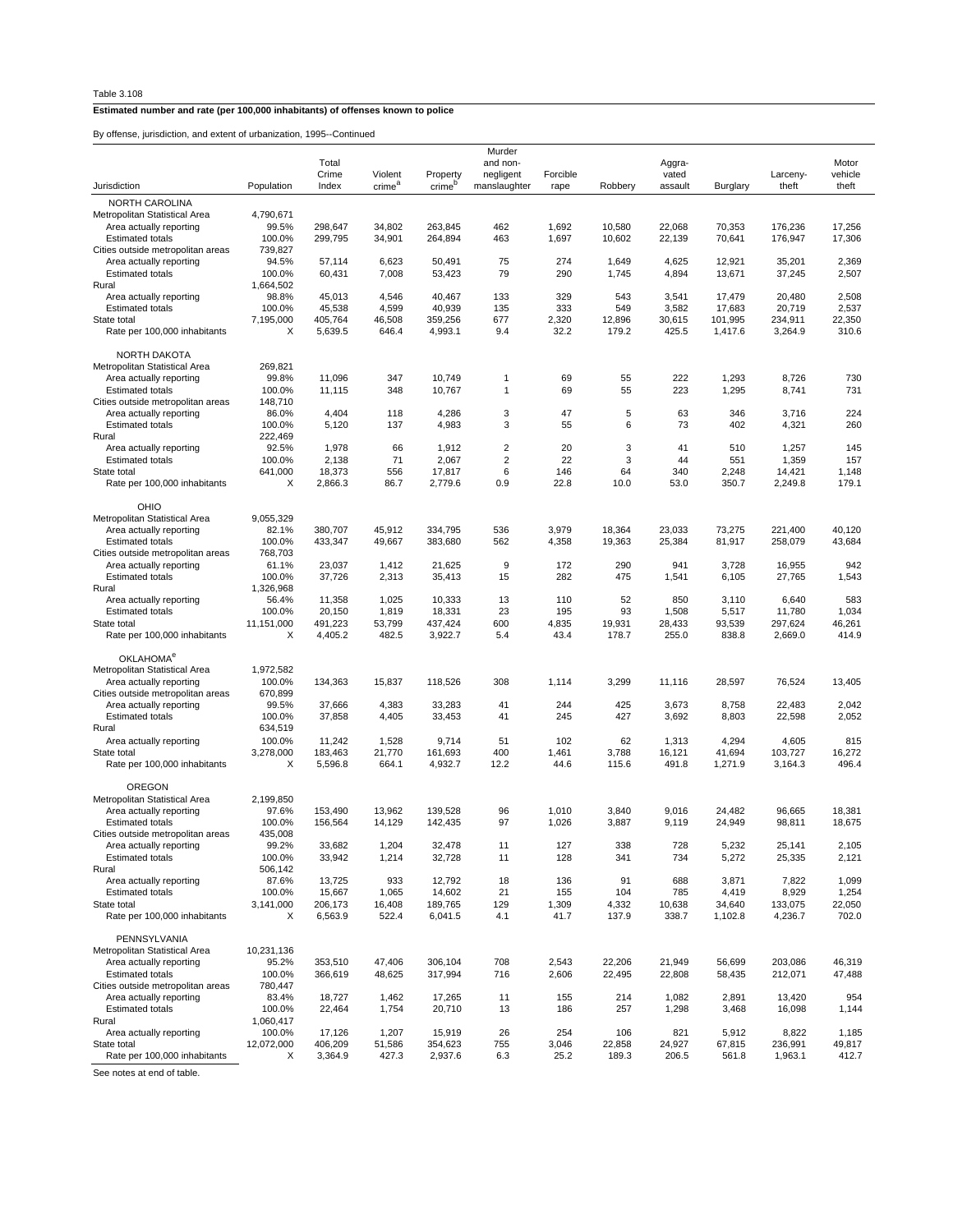By offense, jurisdiction, and extent of urbanization, 1995--Continued

| onense, junsuletion, and extent or urbanization, 1999-Oominided |            |                |                               |                                |                           |                  |         |                  |          |                   |                  |
|-----------------------------------------------------------------|------------|----------------|-------------------------------|--------------------------------|---------------------------|------------------|---------|------------------|----------|-------------------|------------------|
|                                                                 |            |                |                               |                                | Murder                    |                  |         |                  |          |                   |                  |
|                                                                 |            | Total          |                               |                                | and non-                  |                  |         | Aggra-           |          |                   | Motor            |
| Jurisdiction                                                    | Population | Crime<br>Index | Violent<br>crime <sup>a</sup> | Property<br>crime <sup>b</sup> | negligent<br>manslaughter | Forcible<br>rape | Robbery | vated<br>assault | Burglary | Larceny-<br>theft | vehicle<br>theft |
| NORTH CAROLINA                                                  |            |                |                               |                                |                           |                  |         |                  |          |                   |                  |
| Metropolitan Statistical Area                                   | 4,790,671  |                |                               |                                |                           |                  |         |                  |          |                   |                  |
| Area actually reporting                                         | 99.5%      | 298,647        | 34,802                        | 263,845                        | 462                       | 1,692            | 10,580  | 22,068           | 70,353   | 176,236           | 17,256           |
| <b>Estimated totals</b>                                         | 100.0%     | 299,795        | 34,901                        | 264,894                        | 463                       | 1,697            | 10,602  | 22,139           | 70,641   | 176,947           | 17,306           |
| Cities outside metropolitan areas                               | 739,827    |                |                               |                                |                           |                  |         |                  |          |                   |                  |
| Area actually reporting                                         | 94.5%      | 57,114         | 6,623                         | 50,491                         | 75                        | 274              | 1,649   | 4,625            | 12,921   | 35,201            | 2,369            |
| <b>Estimated totals</b>                                         | 100.0%     | 60,431         | 7,008                         | 53,423                         | 79                        | 290              | 1,745   | 4,894            | 13,671   | 37,245            | 2,507            |
| Rural                                                           | 1,664,502  |                |                               |                                |                           |                  |         |                  |          |                   |                  |
| Area actually reporting                                         | 98.8%      | 45,013         | 4,546                         | 40,467                         | 133                       | 329              | 543     | 3,541            | 17,479   | 20,480            | 2,508            |
| <b>Estimated totals</b>                                         | 100.0%     | 45,538         | 4,599                         | 40,939                         | 135                       | 333              | 549     | 3,582            | 17,683   | 20,719            | 2,537            |
| State total                                                     | 7,195,000  | 405,764        | 46,508                        | 359,256                        | 677                       | 2,320            | 12,896  | 30,615           | 101,995  | 234,911           | 22,350           |
| Rate per 100,000 inhabitants                                    | X          | 5,639.5        | 646.4                         | 4,993.1                        | 9.4                       | 32.2             | 179.2   | 425.5            | 1,417.6  | 3,264.9           | 310.6            |
| <b>NORTH DAKOTA</b>                                             |            |                |                               |                                |                           |                  |         |                  |          |                   |                  |
| Metropolitan Statistical Area                                   | 269,821    |                |                               |                                |                           |                  |         |                  |          |                   |                  |
| Area actually reporting                                         | 99.8%      | 11,096         | 347                           | 10,749                         | 1                         | 69               | 55      | 222              | 1,293    | 8,726             | 730              |
| <b>Estimated totals</b>                                         | 100.0%     | 11,115         | 348                           | 10,767                         | 1                         | 69               | 55      | 223              | 1,295    | 8,741             | 731              |
| Cities outside metropolitan areas                               | 148,710    |                |                               |                                |                           |                  |         |                  |          |                   |                  |
| Area actually reporting                                         | 86.0%      | 4,404          | 118                           | 4,286                          | 3                         | 47               | 5       | 63               | 346      | 3,716             | 224              |
| <b>Estimated totals</b>                                         | 100.0%     | 5,120          | 137                           | 4,983                          | 3                         | 55               | 6       | 73               | 402      | 4,321             | 260              |
| Rural                                                           | 222,469    |                |                               |                                |                           |                  |         |                  |          |                   |                  |
| Area actually reporting                                         | 92.5%      | 1,978          | 66                            | 1,912                          | 2                         | 20               | 3       | 41               | 510      | 1,257             | 145              |
| <b>Estimated totals</b>                                         | 100.0%     | 2,138          | 71                            | 2,067                          | 2                         | 22               | 3       | 44               | 551      | 1,359             | 157              |
| State total                                                     | 641,000    | 18,373         | 556                           | 17,817                         | 6                         | 146              | 64      | 340              | 2,248    | 14,421            | 1,148            |
| Rate per 100,000 inhabitants                                    | X          | 2,866.3        | 86.7                          | 2,779.6                        | 0.9                       | 22.8             | 10.0    | 53.0             | 350.7    | 2,249.8           | 179.1            |
| OHIO                                                            |            |                |                               |                                |                           |                  |         |                  |          |                   |                  |
| Metropolitan Statistical Area                                   | 9,055,329  |                |                               |                                |                           |                  |         |                  |          |                   |                  |
| Area actually reporting                                         | 82.1%      | 380,707        | 45,912                        | 334,795                        | 536                       | 3,979            | 18,364  | 23,033           | 73,275   | 221,400           | 40,120           |
| <b>Estimated totals</b>                                         | 100.0%     | 433,347        | 49,667                        | 383,680                        | 562                       | 4,358            | 19,363  | 25,384           | 81,917   | 258,079           | 43,684           |
| Cities outside metropolitan areas                               | 768,703    |                |                               |                                |                           |                  |         |                  |          |                   |                  |
| Area actually reporting                                         | 61.1%      | 23,037         | 1,412                         | 21,625                         | 9                         | 172              | 290     | 941              | 3,728    | 16,955            | 942              |
| <b>Estimated totals</b>                                         | 100.0%     | 37,726         | 2,313                         | 35,413                         | 15                        | 282              | 475     | 1,541            | 6,105    | 27,765            | 1,543            |
| Rural                                                           | 1,326,968  |                |                               |                                |                           |                  |         |                  |          |                   |                  |
| Area actually reporting                                         | 56.4%      | 11,358         | 1,025                         | 10,333                         | 13                        | 110              | 52      | 850              | 3,110    | 6,640             | 583              |
| <b>Estimated totals</b>                                         | 100.0%     | 20,150         | 1,819                         | 18,331                         | 23                        | 195              | 93      | 1,508            | 5,517    | 11,780            | 1,034            |
| State total                                                     | 11,151,000 | 491,223        | 53,799                        | 437,424                        | 600                       | 4,835            | 19,931  | 28,433           | 93,539   | 297,624           | 46,261           |
| Rate per 100,000 inhabitants                                    | X          | 4,405.2        | 482.5                         | 3,922.7                        | 5.4                       | 43.4             | 178.7   | 255.0            | 838.8    | 2,669.0           | 414.9            |
| OKLAHOMA <sup>e</sup>                                           |            |                |                               |                                |                           |                  |         |                  |          |                   |                  |
| Metropolitan Statistical Area                                   | 1,972,582  |                |                               |                                |                           |                  |         |                  |          |                   |                  |
| Area actually reporting                                         | 100.0%     | 134,363        | 15,837                        | 118,526                        | 308                       | 1,114            | 3,299   | 11,116           | 28,597   | 76,524            | 13,405           |
| Cities outside metropolitan areas                               | 670,899    |                |                               |                                |                           |                  |         |                  |          |                   |                  |
| Area actually reporting                                         | 99.5%      | 37,666         | 4,383                         | 33,283                         | 41                        | 244              | 425     | 3,673            | 8,758    | 22,483            | 2,042            |
| <b>Estimated totals</b>                                         | 100.0%     | 37,858         | 4,405                         | 33,453                         | 41                        | 245              | 427     | 3,692            | 8,803    | 22,598            | 2,052            |
| Rural                                                           | 634,519    |                |                               |                                |                           |                  |         |                  |          |                   |                  |
| Area actually reporting                                         | 100.0%     | 11,242         | 1,528                         | 9,714                          | 51                        | 102              | 62      | 1,313            | 4,294    | 4,605             | 815              |
| State total                                                     | 3,278,000  | 183,463        | 21,770                        | 161,693                        | 400                       | 1,461            | 3,788   | 16,121           | 41,694   | 103,727           | 16,272           |
| Rate per 100,000 inhabitants                                    | X          | 5,596.8        | 664.1                         | 4,932.7                        | 12.2                      | 44.6             | 115.6   | 491.8            | 1,271.9  | 3,164.3           | 496.4            |
| OREGON                                                          |            |                |                               |                                |                           |                  |         |                  |          |                   |                  |
| Metropolitan Statistical Area                                   | 2,199,850  |                |                               |                                |                           |                  |         |                  |          |                   |                  |
| Area actually reporting                                         | 97.6%      | 153,490        | 13,962                        | 139,528                        | 96                        | 1,010            | 3,840   | 9,016            | 24,482   | 96,665            | 18,381           |
| <b>Estimated totals</b>                                         | 100.0%     | 156,564        | 14,129                        | 142,435                        | 97                        | 1,026            | 3,887   | 9,119            | 24,949   | 98,811            | 18,675           |
| Cities outside metropolitan areas                               | 435,008    |                |                               |                                |                           |                  |         |                  |          |                   |                  |
| Area actually reporting                                         | 99.2%      | 33,682         | 1,204                         | 32,478                         | 11                        | 127              | 338     | 728              | 5,232    | 25,141            | 2,105            |
| <b>Estimated totals</b>                                         | 100.0%     | 33,942         | 1,214                         | 32,728                         | 11                        | 128              | 341     | 734              | 5,272    | 25,335            | 2,121            |
| Rural                                                           | 506,142    |                |                               |                                |                           |                  |         |                  |          |                   |                  |
| Area actually reporting                                         | 87.6%      | 13,725         | 933                           | 12,792                         | 18                        | 136              | 91      | 688              | 3,871    | 7,822             | 1,099            |
| <b>Estimated totals</b>                                         | 100.0%     | 15,667         | 1,065                         | 14,602                         | 21                        | 155              | 104     | 785              | 4,419    | 8,929             | 1,254            |
| State total                                                     | 3,141,000  | 206,173        | 16,408                        | 189,765                        | 129                       | 1,309            | 4,332   | 10,638           | 34,640   | 133,075           | 22,050           |
| Rate per 100,000 inhabitants                                    | х          | 6,563.9        | 522.4                         | 6,041.5                        | 4.1                       | 41.7             | 137.9   | 338.7            | 1,102.8  | 4,236.7           | 702.0            |
| PENNSYLVANIA                                                    |            |                |                               |                                |                           |                  |         |                  |          |                   |                  |
| Metropolitan Statistical Area                                   | 10,231,136 |                |                               |                                |                           |                  |         |                  |          |                   |                  |
| Area actually reporting                                         | 95.2%      | 353,510        | 47,406                        | 306,104                        | 708                       | 2,543            | 22,206  | 21,949           | 56,699   | 203,086           | 46,319           |
| <b>Estimated totals</b>                                         | 100.0%     | 366,619        | 48,625                        | 317,994                        | 716                       | 2,606            | 22,495  | 22,808           | 58,435   | 212,071           | 47,488           |
| Cities outside metropolitan areas                               | 780,447    |                |                               |                                |                           |                  |         |                  |          |                   |                  |
| Area actually reporting                                         | 83.4%      | 18,727         | 1,462                         | 17,265                         | 11                        | 155              | 214     | 1,082            | 2,891    | 13,420            | 954              |
| <b>Estimated totals</b>                                         | 100.0%     | 22,464         | 1,754                         | 20,710                         | 13                        | 186              | 257     | 1,298            | 3,468    | 16,098            | 1,144            |
| Rural                                                           | 1,060,417  |                |                               |                                |                           |                  |         |                  |          |                   |                  |
| Area actually reporting                                         | 100.0%     | 17,126         | 1,207                         | 15,919                         | 26                        | 254              | 106     | 821              | 5,912    | 8,822             | 1,185            |
| State total                                                     | 12,072,000 | 406,209        | 51,586                        | 354,623                        | 755                       | 3,046            | 22,858  | 24,927           | 67,815   | 236,991           | 49,817           |
| Rate per 100,000 inhabitants                                    | х          | 3,364.9        | 427.3                         | 2,937.6                        | 6.3                       | 25.2             | 189.3   | 206.5            | 561.8    | 1,963.1           | 412.7            |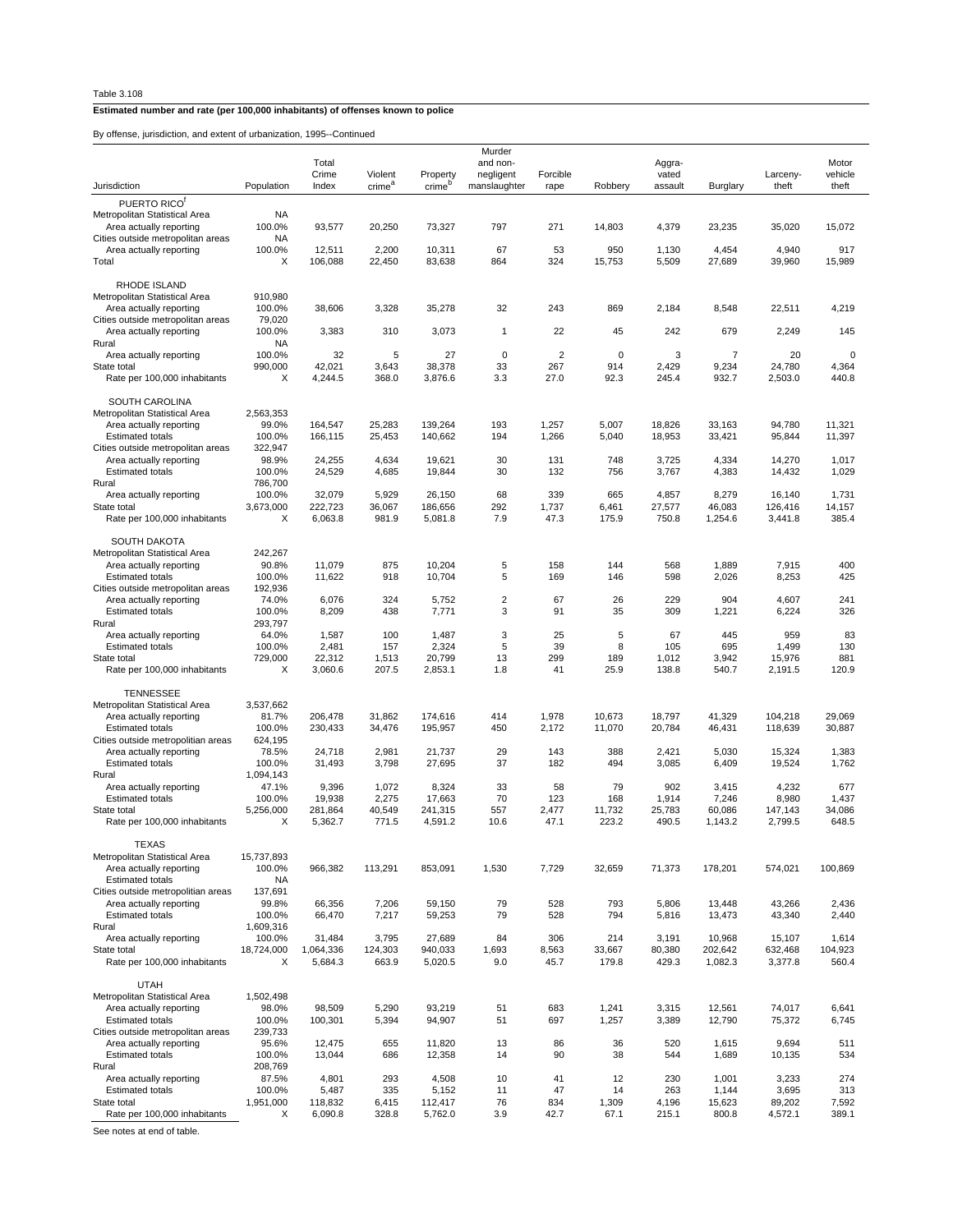By offense, jurisdiction, and extent of urbanization, 1995--Continued

| y onense, junsuiciion, and exient or uncanization, 1999-Committed |                      |                 |                               |                                |                           |                |             |                  |                |                   |                  |
|-------------------------------------------------------------------|----------------------|-----------------|-------------------------------|--------------------------------|---------------------------|----------------|-------------|------------------|----------------|-------------------|------------------|
|                                                                   |                      | Total           |                               |                                | Murder<br>and non-        |                |             | Aggra-           |                |                   | Motor            |
| Jurisdiction                                                      | Population           | Crime<br>Index  | Violent<br>crime <sup>a</sup> | Property<br>crime <sup>b</sup> | negligent<br>manslaughter | Forcible       |             | vated<br>assault |                | Larceny-<br>theft | vehicle<br>theft |
| PUERTO RICO <sup>®</sup>                                          |                      |                 |                               |                                |                           | rape           | Robbery     |                  | Burglary       |                   |                  |
| Metropolitan Statistical Area                                     | NA                   |                 |                               |                                |                           |                |             |                  |                |                   |                  |
| Area actually reporting                                           | 100.0%               | 93,577          | 20,250                        | 73,327                         | 797                       | 271            | 14,803      | 4,379            | 23,235         | 35,020            | 15,072           |
| Cities outside metropolitan areas<br>Area actually reporting      | NA<br>100.0%         | 12,511          | 2,200                         | 10,311                         | 67                        | 53             | 950         | 1,130            | 4,454          | 4,940             | 917              |
| Total                                                             | X                    | 106,088         | 22,450                        | 83,638                         | 864                       | 324            | 15,753      | 5,509            | 27,689         | 39,960            | 15,989           |
|                                                                   |                      |                 |                               |                                |                           |                |             |                  |                |                   |                  |
| RHODE ISLAND<br>Metropolitan Statistical Area                     |                      |                 |                               |                                |                           |                |             |                  |                |                   |                  |
| Area actually reporting                                           | 910,980<br>100.0%    | 38,606          | 3,328                         | 35,278                         | 32                        | 243            | 869         | 2,184            | 8,548          | 22,511            | 4,219            |
| Cities outside metropolitan areas                                 | 79,020               |                 |                               |                                |                           |                |             |                  |                |                   |                  |
| Area actually reporting                                           | 100.0%               | 3,383           | 310                           | 3,073                          | $\mathbf{1}$              | 22             | 45          | 242              | 679            | 2,249             | 145              |
| Rural<br>Area actually reporting                                  | <b>NA</b><br>100.0%  | 32              | 5                             | 27                             | $\mathbf 0$               | $\overline{c}$ | $\mathbf 0$ | 3                | 7              | 20                | 0                |
| State total                                                       | 990,000              | 42,021          | 3,643                         | 38,378                         | 33                        | 267            | 914         | 2,429            | 9,234          | 24,780            | 4,364            |
| Rate per 100,000 inhabitants                                      | X                    | 4,244.5         | 368.0                         | 3,876.6                        | 3.3                       | 27.0           | 92.3        | 245.4            | 932.7          | 2,503.0           | 440.8            |
| <b>SOUTH CAROLINA</b>                                             |                      |                 |                               |                                |                           |                |             |                  |                |                   |                  |
| Metropolitan Statistical Area                                     | 2,563,353            |                 |                               |                                |                           |                |             |                  |                |                   |                  |
| Area actually reporting                                           | 99.0%                | 164,547         | 25,283                        | 139,264                        | 193                       | 1,257          | 5,007       | 18,826           | 33,163         | 94,780            | 11,321           |
| <b>Estimated totals</b><br>Cities outside metropolitan areas      | 100.0%<br>322,947    | 166,115         | 25,453                        | 140,662                        | 194                       | 1,266          | 5,040       | 18,953           | 33,421         | 95,844            | 11,397           |
| Area actually reporting                                           | 98.9%                | 24,255          | 4,634                         | 19,621                         | 30                        | 131            | 748         | 3,725            | 4,334          | 14,270            | 1,017            |
| <b>Estimated totals</b>                                           | 100.0%               | 24,529          | 4,685                         | 19,844                         | 30                        | 132            | 756         | 3,767            | 4,383          | 14,432            | 1,029            |
| Rural<br>Area actually reporting                                  | 786,700<br>100.0%    | 32,079          | 5,929                         | 26,150                         | 68                        | 339            | 665         | 4,857            | 8,279          | 16,140            | 1,731            |
| State total                                                       | 3,673,000            | 222,723         | 36,067                        | 186,656                        | 292                       | 1,737          | 6,461       | 27,577           | 46,083         | 126,416           | 14,157           |
| Rate per 100,000 inhabitants                                      | X                    | 6,063.8         | 981.9                         | 5.081.8                        | 7.9                       | 47.3           | 175.9       | 750.8            | 1,254.6        | 3,441.8           | 385.4            |
|                                                                   |                      |                 |                               |                                |                           |                |             |                  |                |                   |                  |
| <b>SOUTH DAKOTA</b><br>Metropolitan Statistical Area              | 242,267              |                 |                               |                                |                           |                |             |                  |                |                   |                  |
| Area actually reporting                                           | 90.8%                | 11,079          | 875                           | 10,204                         | $\sqrt{5}$                | 158            | 144         | 568              | 1,889          | 7,915             | 400              |
| <b>Estimated totals</b>                                           | 100.0%               | 11,622          | 918                           | 10,704                         | 5                         | 169            | 146         | 598              | 2,026          | 8,253             | 425              |
| Cities outside metropolitan areas<br>Area actually reporting      | 192,936<br>74.0%     | 6,076           | 324                           | 5,752                          | $\overline{c}$            | 67             | 26          | 229              | 904            | 4,607             | 241              |
| <b>Estimated totals</b>                                           | 100.0%               | 8,209           | 438                           | 7,771                          | 3                         | 91             | 35          | 309              | 1,221          | 6,224             | 326              |
| Rural                                                             | 293,797              |                 |                               |                                |                           |                |             |                  |                |                   |                  |
| Area actually reporting<br><b>Estimated totals</b>                | 64.0%<br>100.0%      | 1,587<br>2,481  | 100<br>157                    | 1,487<br>2,324                 | 3<br>5                    | 25<br>39       | 5<br>8      | 67<br>105        | 445<br>695     | 959<br>1,499      | 83<br>130        |
| State total                                                       | 729,000              | 22,312          | 1,513                         | 20,799                         | 13                        | 299            | 189         | 1,012            | 3,942          | 15,976            | 881              |
| Rate per 100,000 inhabitants                                      | X                    | 3,060.6         | 207.5                         | 2,853.1                        | 1.8                       | 41             | 25.9        | 138.8            | 540.7          | 2,191.5           | 120.9            |
| <b>TENNESSEE</b>                                                  |                      |                 |                               |                                |                           |                |             |                  |                |                   |                  |
| Metropolitan Statistical Area                                     | 3,537,662            |                 |                               |                                |                           |                |             |                  |                |                   |                  |
| Area actually reporting                                           | 81.7%                | 206,478         | 31,862                        | 174,616                        | 414                       | 1,978          | 10,673      | 18,797           | 41,329         | 104,218           | 29,069           |
| <b>Estimated totals</b><br>Cities outside metropolitian areas     | 100.0%<br>624,195    | 230,433         | 34,476                        | 195,957                        | 450                       | 2,172          | 11,070      | 20,784           | 46,431         | 118,639           | 30,887           |
| Area actually reporting                                           | 78.5%                | 24,718          | 2,981                         | 21,737                         | 29                        | 143            | 388         | 2,421            | 5,030          | 15,324            | 1,383            |
| <b>Estimated totals</b>                                           | 100.0%               | 31,493          | 3,798                         | 27,695                         | 37                        | 182            | 494         | 3,085            | 6,409          | 19,524            | 1,762            |
| Rural                                                             | 1,094,143            |                 |                               |                                |                           |                |             |                  |                |                   |                  |
| Area actually reporting<br><b>Estimated totals</b>                | 47.1%<br>100.0%      | 9,396<br>19,938 | 1,072<br>2,275                | 8,324<br>17,663                | 33<br>70                  | 58<br>123      | 79<br>168   | 902<br>1,914     | 3,415<br>7,246 | 4,232<br>8,980    | 677<br>1,437     |
| State total                                                       | 5,256,000            | 281,864         | 40,549                        | 241,315                        | 557                       | 2,477          | 11,732      | 25,783           | 60,086         | 147,143           | 34,086           |
| Rate per 100,000 inhabitants                                      | Х                    | 5,362.7         | 771.5                         | 4,591.2                        | 10.6                      | 47.1           | 223.2       | 490.5            | 1,143.2        | 2,799.5           | 648.5            |
| <b>TEXAS</b>                                                      |                      |                 |                               |                                |                           |                |             |                  |                |                   |                  |
| Metropolitan Statistical Area                                     | 15,737,893           |                 |                               |                                |                           |                |             |                  |                |                   |                  |
| Area actually reporting                                           | 100.0%               | 966,382         | 113,291                       | 853,091                        | 1,530                     | 7,729          | 32,659      | 71,373           | 178,201        | 574,021           | 100,869          |
| <b>Estimated totals</b><br>Cities outside metropolitian areas     | <b>NA</b><br>137,691 |                 |                               |                                |                           |                |             |                  |                |                   |                  |
| Area actually reporting                                           | 99.8%                | 66,356          | 7,206                         | 59,150                         | 79                        | 528            | 793         | 5,806            | 13,448         | 43,266            | 2,436            |
| <b>Estimated totals</b>                                           | 100.0%               | 66,470          | 7,217                         | 59,253                         | 79                        | 528            | 794         | 5,816            | 13,473         | 43,340            | 2,440            |
| Rural<br>Area actually reporting                                  | 1,609,316<br>100.0%  | 31,484          | 3,795                         | 27,689                         | 84                        | 306            | 214         | 3,191            | 10,968         | 15,107            | 1,614            |
| State total                                                       | 18,724,000           | 1,064,336       | 124,303                       | 940,033                        | 1,693                     | 8,563          | 33,667      | 80,380           | 202,642        | 632,468           | 104,923          |
| Rate per 100,000 inhabitants                                      | Х                    | 5,684.3         | 663.9                         | 5,020.5                        | 9.0                       | 45.7           | 179.8       | 429.3            | 1,082.3        | 3,377.8           | 560.4            |
| <b>UTAH</b>                                                       |                      |                 |                               |                                |                           |                |             |                  |                |                   |                  |
| Metropolitan Statistical Area                                     | 1,502,498            |                 |                               |                                |                           |                |             |                  |                |                   |                  |
| Area actually reporting                                           | 98.0%                | 98,509          | 5,290                         | 93,219                         | 51                        | 683            | 1,241       | 3,315            | 12,561         | 74,017            | 6,641            |
| <b>Estimated totals</b><br>Cities outside metropolitan areas      | 100.0%<br>239,733    | 100,301         | 5,394                         | 94,907                         | 51                        | 697            | 1,257       | 3,389            | 12,790         | 75,372            | 6,745            |
| Area actually reporting                                           | 95.6%                | 12,475          | 655                           | 11,820                         | 13                        | 86             | 36          | 520              | 1,615          | 9,694             | 511              |
| <b>Estimated totals</b>                                           | 100.0%               | 13,044          | 686                           | 12,358                         | 14                        | 90             | 38          | 544              | 1,689          | 10,135            | 534              |
| Rural<br>Area actually reporting                                  | 208,769<br>87.5%     | 4,801           | 293                           | 4,508                          | 10                        | 41             | 12          | 230              | 1,001          | 3,233             | 274              |
| <b>Estimated totals</b>                                           | 100.0%               | 5,487           | 335                           | 5,152                          | 11                        | 47             | 14          | 263              | 1,144          | 3,695             | 313              |
| State total                                                       | 1,951,000            | 118,832         | 6,415                         | 112,417                        | 76                        | 834            | 1,309       | 4,196            | 15,623         | 89,202            | 7,592            |
| Rate per 100,000 inhabitants                                      | Х                    | 6,090.8         | 328.8                         | 5,762.0                        | 3.9                       | 42.7           | 67.1        | 215.1            | 800.8          | 4,572.1           | 389.1            |
| Soo potes at and of table                                         |                      |                 |                               |                                |                           |                |             |                  |                |                   |                  |